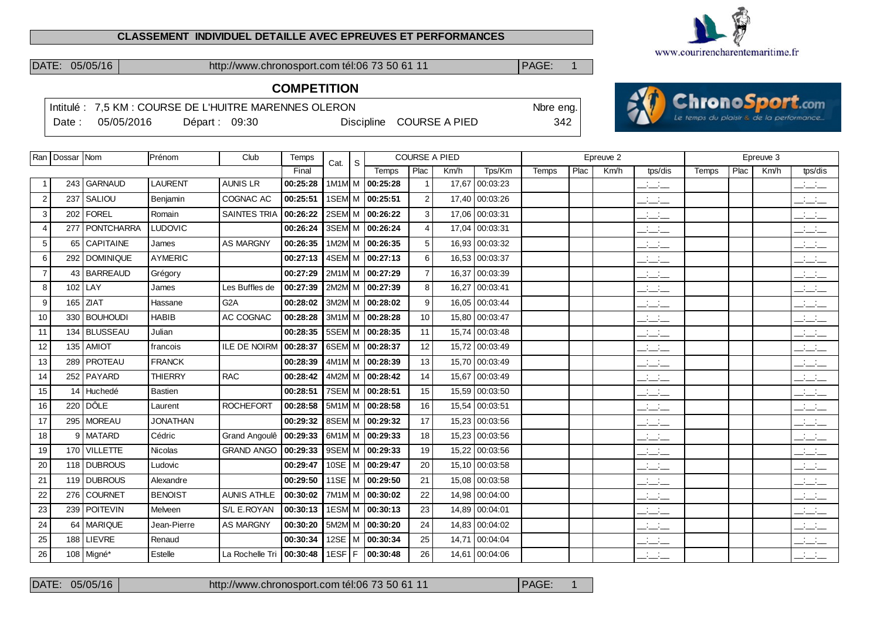#### **CLASSEMENT INDIVIDUEL DETAILLE AVEC EPREUVES ET PERFORMANCES**



**ChronoSport.com** Le temps du plaisir & de la performance.

DATE: 05/05/16 http://www.chronosport.com tél:06 73 50 61 11 PAGE: 1

# **COMPETITION**

|        |            |               | Intitulé: 7.5 KM : COURSE DE L'HUITRE MARENNES OLERON |                          | Nbre eng. |  |
|--------|------------|---------------|-------------------------------------------------------|--------------------------|-----------|--|
| Date : | 05/05/2016 | Départ: 09:30 |                                                       | Discipline COURSE A PIED | 342       |  |

|                | Ran   Dossar   Nom |                       | Prénom          | Club                       | Temps    | S<br>Cat.       |                     |                | <b>COURSE A PIED</b> |                |       |      | Epreuve 2 |                                 |       |      | Epreuve 3 |                                           |
|----------------|--------------------|-----------------------|-----------------|----------------------------|----------|-----------------|---------------------|----------------|----------------------|----------------|-------|------|-----------|---------------------------------|-------|------|-----------|-------------------------------------------|
|                |                    |                       |                 |                            | Final    |                 | Temps               | Plac           | Km/h                 | Tps/Km         | Temps | Plac | Km/h      | tps/dis                         | Temps | Plac | Km/h      | tps/dis                                   |
|                |                    | 243 GARNAUD           | <b>LAURENT</b>  | <b>AUNIS LR</b>            | 00:25:28 | 1M1M M          | 00:25:28            | $\overline{1}$ |                      | 17,67 00:03:23 |       |      |           | $\overline{\phantom{a}}$        |       |      |           | $\overline{\phantom{a}}$                  |
| 2              |                    | 237 SALIOU            | Benjamin        | COGNAC AC                  | 00:25:51 | 1SEM M 00:25:51 |                     | $\overline{2}$ |                      | 17,40 00:03:26 |       |      |           | $ -$                            |       |      |           | $  -$                                     |
| 3              |                    | 202   FOREL           | Romain          | <b>SAINTES TRIA</b>        | 00:26:22 | 2SEM M 00:26:22 |                     | 3              |                      | 17,06 00:03:31 |       |      |           | سأسأب                           |       |      |           | $\mathbb{R}$ and $\mathbb{R}$             |
| $\overline{4}$ |                    | 277   PONTCHARRA      | <b>LUDOVIC</b>  |                            | 00:26:24 | 3SEM M          | 00:26:24            | $\overline{4}$ |                      | 17.04 00:03:31 |       |      |           | $\frac{1}{2}$ and $\frac{1}{2}$ |       |      |           | $\frac{1}{2}$ and $\frac{1}{2}$           |
| 5              |                    | 65 CAPITAINE          | James           | <b>AS MARGNY</b>           | 00:26:35 |                 | 1M2M M 00:26:35     | 5              |                      | 16,93 00:03:32 |       |      |           | $\overline{\phantom{a}}$        |       |      |           | $\frac{1}{2}$                             |
| 6              |                    | 292 DOMINIQUE         | <b>AYMERIC</b>  |                            | 00:27:13 |                 | 4SEM M 00:27:13     | 6              |                      | 16,53 00:03:37 |       |      |           | $\overline{\phantom{a}}$        |       |      |           | $\mathbb{Z}$ and $\mathbb{Z}$             |
| $\overline{7}$ |                    | 43 BARREAUD           | Grégory         |                            | 00:27:29 |                 | 2M1M M 00:27:29     | $\overline{7}$ |                      | 16,37 00:03:39 |       |      |           | $\frac{1}{2}$ and $\frac{1}{2}$ |       |      |           | $\frac{1}{2}$ $\frac{1}{2}$ $\frac{1}{2}$ |
| 8              | 102                | LAY                   | James           | Les Buffles de             | 00:27:39 |                 | 2M2M M 00:27:39     | 8              |                      | 16,27 00:03:41 |       |      |           | $ -$                            |       |      |           | $\frac{1}{2}$ $\frac{1}{2}$ $\frac{1}{2}$ |
| 9              |                    | 165 ZIAT              | Hassane         | G <sub>2</sub> A           | 00:28:02 |                 | 3M2M M 00:28:02     | 9              |                      | 16,05 00:03:44 |       |      |           | $\overline{\phantom{a}}$        |       |      |           | $\overline{\phantom{a}}$                  |
| 10             |                    | 330 BOUHOUDI          | <b>HABIB</b>    | AC COGNAC                  | 00:28:28 | 3M1M M 00:28:28 |                     | 10             |                      | 15.80 00:03:47 |       |      |           | $\overline{\phantom{a}}$        |       |      |           | $\overline{\phantom{a}}$                  |
| 11             |                    | 134 BLUSSEAU          | Julian          |                            | 00:28:35 |                 | 5SEM M 00:28:35     | 11             |                      | 15,74 00:03:48 |       |      |           | $ -$                            |       |      |           | $\frac{1}{2}$ $\frac{1}{2}$ $\frac{1}{2}$ |
| 12             |                    | $135$ AMIOT           | francois        | ILE DE NOIRM               | 00:28:37 |                 | 6SEM M 00:28:37     | 12             |                      | 15,72 00:03:49 |       |      |           | $\frac{1}{2}$ and $\frac{1}{2}$ |       |      |           | $\mathbb{R}$ and $\mathbb{R}$             |
| 13             | 289                | <i><b>PROTEAU</b></i> | <b>FRANCK</b>   |                            | 00:28:39 |                 | 4M1M M 00:28:39     | 13             |                      | 15.70 00:03:49 |       |      |           | $ -$                            |       |      |           | $ -$                                      |
| 14             |                    | 252   PAYARD          | <b>THIERRY</b>  | <b>RAC</b>                 | 00:28:42 | 4M2M M 00:28:42 |                     | 14             |                      | 15,67 00:03:49 |       |      |           | $ -$                            |       |      |           | $\frac{1}{2}$ $\frac{1}{2}$ $\frac{1}{2}$ |
| 15             |                    | 14 Huchedé            | <b>Bastien</b>  |                            | 00:28:51 | 7SEM M 00:28:51 |                     | 15             |                      | 15,59 00:03:50 |       |      |           | <b>Contract Contract</b>        |       |      |           | $\frac{1}{2}$                             |
| 16             |                    | 220 DÔLE              | Laurent         | <b>ROCHEFORT</b>           | 00:28:58 |                 | 5M1M M 00:28:58     | 16             |                      | 15,54 00:03:51 |       |      |           | <b>Service</b><br>$  -$         |       |      |           | <b>Service</b><br>$  -$                   |
| 17             |                    | 295   MOREAU          | <b>JONATHAN</b> |                            | 00:29:32 |                 | 8SEM M 00:29:32     | 17             |                      | 15,23 00:03:56 |       |      |           | $\overline{\phantom{a}}$        |       |      |           | $\overline{\phantom{a}}$                  |
| 18             |                    | 9 MATARD              | Cédric          | Grand Angoulê              | 00:29:33 |                 | 6M1M M 00:29:33     | 18             |                      | 15,23 00:03:56 |       |      |           | $  -$                           |       |      |           | $\frac{1}{2}$ $\frac{1}{2}$ $\frac{1}{2}$ |
| 19             |                    | 170 VILLETTE          | Nicolas         | <b>GRAND ANGO</b>          | 00:29:33 |                 | 9SEM M 00:29:33     | 19             |                      | 15,22 00:03:56 |       |      |           | $\overline{\phantom{a}}$        |       |      |           | $\mathbb{R}$ and $\mathbb{R}$             |
| 20             |                    | 118 DUBROUS           | Ludovic         |                            | 00:29:47 | $10SE$ M        | 00:29:47            | 20             |                      | 15,10 00:03:58 |       |      |           | $\overline{\phantom{a}}$        |       |      |           | $\overline{\phantom{a}}$                  |
| 21             |                    | 119 DUBROUS           | Alexandre       |                            | 00:29:50 | 11SE $ M$       | 00:29:50            | 21             |                      | 15,08 00:03:58 |       |      |           | $\frac{1}{2}$                   |       |      |           | <b>Contract Contract</b><br>---           |
| 22             |                    | 276 COURNET           | <b>BENOIST</b>  | <b>AUNIS ATHLE</b>         | 00:30:02 |                 | 7M1M M 100:30:02    | 22             |                      | 14.98 00:04:00 |       |      |           | المنافسات                       |       |      |           | للمستنقذ                                  |
| 23             |                    | 239 POITEVIN          | Melveen         | S/L E.ROYAN                | 00:30:13 |                 | 1ESM M 00:30:13     | 23             |                      | 14,89 00:04:01 |       |      |           | $ -$                            |       |      |           | $\frac{1}{2}$                             |
| 24             |                    | 64   MARIQUE          | Jean-Pierre     | <b>AS MARGNY</b>           | 00:30:20 | 5M2M M          | 00:30:20            | 24             |                      | 14,83 00:04:02 |       |      |           | $\frac{1}{2}$ and $\frac{1}{2}$ |       |      |           | $  -$                                     |
| 25             | 188 l              | <b>LIEVRE</b>         | Renaud          |                            | 00:30:34 |                 | 12SE   M   00:30:34 | 25             |                      | 14,71 00:04:04 |       |      |           | $\overline{\phantom{a}}$        |       |      |           | $\mathbb{R}$ and $\mathbb{R}$             |
| 26             |                    | 108 Migné*            | Estelle         | La Rochelle Tri   00:30:48 |          | $1ESF$ F        | 00:30:48            | 26             |                      | 14,61 00:04:06 |       |      |           | $  -$                           |       |      |           | $\overline{\phantom{a}}$                  |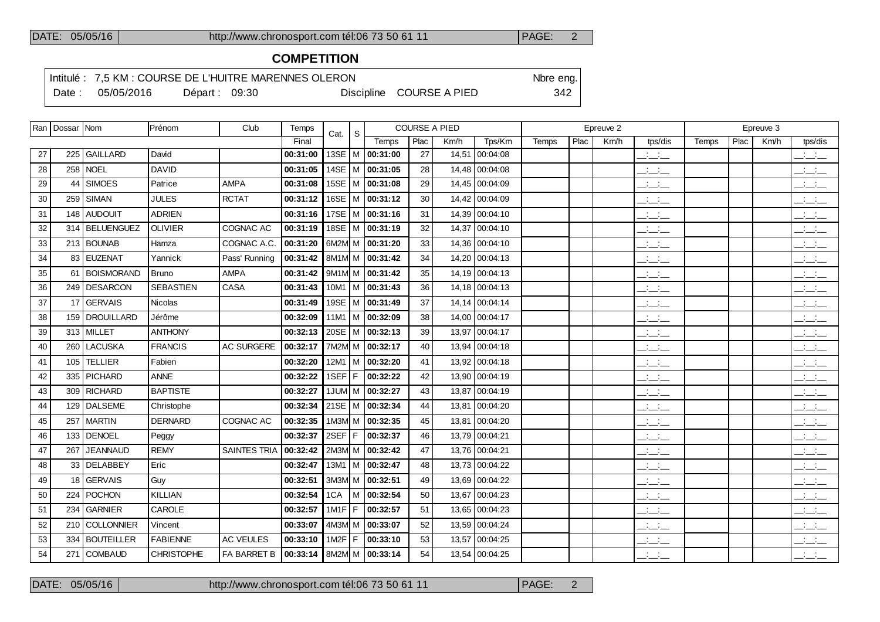# **COMPETITION**

Intitulé : 7,5 KM : COURSE DE L'HUITRE MARENNES OLERON Nore eng.

Date : 05/05/2016 Départ : 09:30 Discipline COURSE A PIED 342

|    | Ran   Dossar   Nom |                   | Prénom            | Club                | Temps    | Cat.          | S |                       | <b>COURSE A PIED</b> |      |                |       |      | Epreuve 2 |                                                                      |       |      | Epreuve 3 |                                                                      |
|----|--------------------|-------------------|-------------------|---------------------|----------|---------------|---|-----------------------|----------------------|------|----------------|-------|------|-----------|----------------------------------------------------------------------|-------|------|-----------|----------------------------------------------------------------------|
|    |                    |                   |                   |                     | Final    |               |   | Temps                 | Plac                 | Km/h | Tps/Km         | Temps | Plac | Km/h      | tps/dis                                                              | Temps | Plac | Km/h      | tps/dis                                                              |
| 27 | 225                | <b>GAILLARD</b>   | David             |                     | 00:31:00 |               |   | 13SE   M   00:31:00   | 27                   |      | 14,51 00:04:08 |       |      |           | $\frac{1}{2}$                                                        |       |      |           | $\frac{1}{2}$ and $\frac{1}{2}$                                      |
| 28 |                    | 258   NOEL        | <b>DAVID</b>      |                     | 00:31:05 |               |   | 14SE M 00:31:05       | 28                   |      | 14,48 00:04:08 |       |      |           | $\mathcal{A}^{\mathcal{A}}$ and $\mathcal{A}^{\mathcal{A}}$<br>$  -$ |       |      |           | ———                                                                  |
| 29 | 44                 | <b>SIMOES</b>     | Patrice           | <b>AMPA</b>         | 00:31:08 |               |   | 15SE   M   00:31:08   | 29                   |      | 14,45 00:04:09 |       |      |           | <b>Contractor</b><br>$  -$                                           |       |      |           | <b>Contract</b><br>---                                               |
| 30 |                    | $259$ SIMAN       | <b>JULES</b>      | <b>RCTAT</b>        | 00:31:12 |               |   | 16SE   M   00:31:12   | 30                   |      | 14,42 00:04:09 |       |      |           | $\frac{1}{2}$ and $\frac{1}{2}$                                      |       |      |           | <b>Contract Contract</b><br>$  -$                                    |
| 31 |                    | 148 AUDOUIT       | <b>ADRIEN</b>     |                     | 00:31:16 |               |   | 17SE   M   00:31:16   | 31                   |      | 14,39 00:04:10 |       |      |           | $\frac{1}{2}$                                                        |       |      |           | $\overline{\phantom{a}}$                                             |
| 32 |                    | 314 BELUENGUEZ    | <b>OLIVIER</b>    | COGNAC AC           | 00:31:19 |               |   | 18SE   M   00:31:19   | 32                   |      | 14,37 00:04:10 |       |      |           | $\frac{1}{2}$ and $\frac{1}{2}$                                      |       |      |           | <b>Contract</b>                                                      |
| 33 |                    | 213 BOUNAB        | Hamza             | COGNAC A.C.         | 00:31:20 |               |   | 6M2M M $ $ 00:31:20   | 33                   |      | 14,36 00:04:10 |       |      |           | $\overline{\phantom{a}}$                                             |       |      |           | بالسنب                                                               |
| 34 |                    | 83 EUZENAT        | Yannick           | Pass' Running       | 00:31:42 |               |   | 8M1M M 00:31:42       | 34                   |      | 14,20 00:04:13 |       |      |           | $\frac{1}{2}$                                                        |       |      |           | بالسنب                                                               |
| 35 |                    | 61 BOISMORAND     | <b>Bruno</b>      | <b>AMPA</b>         | 00:31:42 |               |   | $9M1M/M$ 00:31:42     | 35                   |      | 14,19 00:04:13 |       |      |           | $\overline{\phantom{a}}$                                             |       |      |           | $\overline{\phantom{a}}$                                             |
| 36 |                    | 249   DESARCON    | <b>SEBASTIEN</b>  | CASA                | 00:31:43 |               |   | $10M1$   M   00:31:43 | 36                   |      | 14,18 00:04:13 |       |      |           | $\frac{1}{2}$ and $\frac{1}{2}$                                      |       |      |           |                                                                      |
| 37 |                    | 17 GERVAIS        | <b>Nicolas</b>    |                     | 00:31:49 |               |   | 19SE   M   00:31:49   | 37                   |      | 14,14 00:04:14 |       |      |           | $\overline{a}$                                                       |       |      |           | $\mathbf{a} = \mathbf{a} \cdot \mathbf{a}$                           |
| 38 |                    | 159   DROUILLARD  | Jérôme            |                     | 00:32:09 |               |   | 11M1   M $ $ 00:32:09 | 38                   |      | 14,00 00:04:17 |       |      |           | $\frac{1}{2}$ and $\frac{1}{2}$                                      |       |      |           | $\overline{\phantom{a}}$                                             |
| 39 |                    | 313 MILLET        | <b>ANTHONY</b>    |                     | 00:32:13 |               |   | 20SE   M   00:32:13   | 39                   |      | 13,97 00:04:17 |       |      |           | $\frac{1}{2}$ and $\frac{1}{2}$                                      |       |      |           | $\overline{\phantom{a}}$                                             |
| 40 | 260                | <b>LACUSKA</b>    | <b>FRANCIS</b>    | AC SURGERE          | 00:32:17 |               |   | 7M2M M 00:32:17       | 40                   |      | 13,94 00:04:18 |       |      |           | $\frac{1}{2}$ and $\frac{1}{2}$                                      |       |      |           | $\overline{\phantom{a}}$                                             |
| 41 |                    | 105 TELLIER       | Fabien            |                     | 00:32:20 |               |   | $12M1$   M   00:32:20 | 41                   |      | 13,92 00:04:18 |       |      |           | $\frac{1}{2}$ and $\frac{1}{2}$                                      |       |      |           | $\frac{1}{2}$                                                        |
| 42 |                    | 335   PICHARD     | <b>ANNE</b>       |                     | 00:32:22 | 1SEF F        |   | 00:32:22              | 42                   |      | 13,90 00:04:19 |       |      |           | $\overline{a}$                                                       |       |      |           | بالسنب                                                               |
| 43 |                    | 309 RICHARD       | <b>BAPTISTE</b>   |                     | 00:32:27 |               |   | 1JUM M 00:32:27       | 43                   |      | 13,87 00:04:19 |       |      |           | $\frac{1}{2}$                                                        |       |      |           | $\overline{\phantom{a}}$                                             |
| 44 |                    | 129 DALSEME       | Christophe        |                     | 00:32:34 |               |   | 21SE   M   00:32:34   | 44                   |      | 13,81 00:04:20 |       |      |           | $  -$                                                                |       |      |           | $\overline{\phantom{a}}$                                             |
| 45 |                    | 257 MARTIN        | <b>DERNARD</b>    | <b>COGNAC AC</b>    | 00:32:35 |               |   | 1M3M M 00:32:35       | 45                   |      | 13.81 00:04:20 |       |      |           | $\frac{1}{2}$ and $\frac{1}{2}$                                      |       |      |           | $  -$                                                                |
| 46 |                    | 133 DENOEL        | Peggy             |                     | 00:32:37 | 2SEF F        |   | 00:32:37              | 46                   |      | 13,79 00:04:21 |       |      |           | $  -$                                                                |       |      |           | بالسائد                                                              |
| 47 |                    | 267 JEANNAUD      | <b>REMY</b>       | <b>SAINTES TRIA</b> | 00:32:42 |               |   | 2M3M M 00:32:42       | 47                   |      | 13,76 00:04:21 |       |      |           | $\frac{1}{2}$ and $\frac{1}{2}$                                      |       |      |           | <b>Contract</b><br>———                                               |
| 48 |                    | 33 DELABBEY       | Eric              |                     | 00:32:47 |               |   | 13M1   M   00:32:47   | 48                   |      | 13,73 00:04:22 |       |      |           | $\frac{1}{2}$ and $\frac{1}{2}$                                      |       |      |           | $\mathcal{A}^{\mathcal{A}}$ and $\mathcal{A}^{\mathcal{A}}$<br>— — — |
| 49 |                    | 18 GERVAIS        | Guy               |                     | 00:32:51 |               |   | 3M3M M 00:32:51       | 49                   |      | 13,69 00:04:22 |       |      |           | $\mathbb{Z}$ and $\mathbb{Z}$                                        |       |      |           | $\overline{\phantom{a}}$                                             |
| 50 |                    | 224   POCHON      | <b>KILLIAN</b>    |                     | 00:32:54 | 1CA           |   | M 00:32:54            | 50                   |      | 13,67 00:04:23 |       |      |           | $  -$                                                                |       |      |           | $\overline{\phantom{a}}$ and $\overline{\phantom{a}}$                |
| 51 |                    | 234 GARNIER       | CAROLE            |                     | 00:32:57 | $1$ M1F $ F $ |   | 00:32:57              | 51                   |      | 13,65 00:04:23 |       |      |           | $\frac{1}{2}$ and $\frac{1}{2}$                                      |       |      |           | $\frac{1}{2}$                                                        |
| 52 | 210                | <b>COLLONNIER</b> | Vincent           |                     | 00:33:07 |               |   | 4M3M M 00:33:07       | 52                   |      | 13,59 00:04:24 |       |      |           | $\frac{1}{2}$ and $\frac{1}{2}$                                      |       |      |           | <b>Contract</b><br>$  -$                                             |
| 53 |                    | 334 BOUTEILLER    | <b>FABIENNE</b>   | <b>AC VEULES</b>    | 00:33:10 | $1M2F$ F      |   | 00:33:10              | 53                   |      | 13,57 00:04:25 |       |      |           | $\frac{1}{2}$ and $\frac{1}{2}$                                      |       |      |           | $  -$                                                                |
| 54 |                    | 271 COMBAUD       | <b>CHRISTOPHE</b> | FA BARRET B         | 00:33:14 |               |   | 8M2M M 00:33:14       | 54                   |      | 13,54 00:04:25 |       |      |           | $\frac{1}{2}$                                                        |       |      |           | $\frac{1}{2}$                                                        |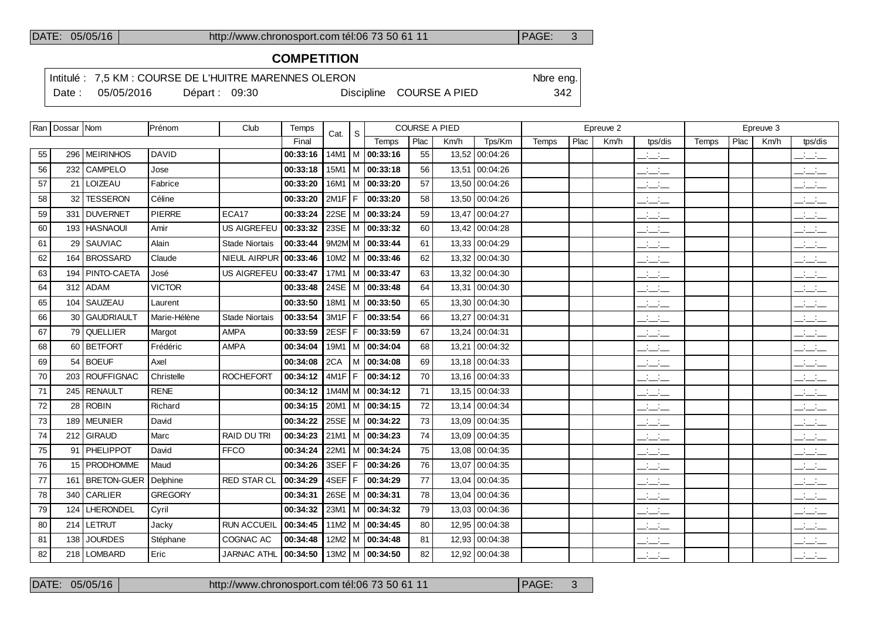$\overline{\phantom{a}}$ 

 $\overline{\phantom{a}}$ 

## DATE: 05/05/16 http://www.chronosport.com tél:06 73 50 61 11 PAGE: 3

# **COMPETITION**

Intitulé : 7,5 KM : COURSE DE L'HUITRE MARENNES OLERON Nore eng.

Date : 05/05/2016 Départ : 09:30 Discipline COURSE A PIED 342

|    | Ran   Dossar   Nom |                    | Prénom         | Club                  | Temps    | Cat.     | S. |                         | <b>COURSE A PIED</b> |       |                |       |      | Epreuve 2 |                                      |       |                  | Epreuve 3 |                                           |
|----|--------------------|--------------------|----------------|-----------------------|----------|----------|----|-------------------------|----------------------|-------|----------------|-------|------|-----------|--------------------------------------|-------|------------------|-----------|-------------------------------------------|
|    |                    |                    |                |                       | Final    |          |    | Temps                   | Plac                 | Km/h  | Tps/Km         | Temps | Plac | Km/h      | tps/dis                              | Temps | P <sub>lac</sub> | Km/h      | tps/dis                                   |
| 55 | 296                | <b>MEIRINHOS</b>   | <b>DAVID</b>   |                       | 00:33:16 | 14M1   M |    | 00:33:16                | 55                   |       | 13,52 00:04:26 |       |      |           | $\frac{1}{2}$ and $\frac{1}{2}$      |       |                  |           | $\frac{1}{2}$                             |
| 56 |                    | 232 CAMPELO        | Jose           |                       | 00:33:18 |          |    | $15M1$ M $ 00:33:18$    | 56                   | 13,51 | 00:04:26       |       |      |           | $\frac{1}{2}$ and $\frac{1}{2}$      |       |                  |           | للأسائل                                   |
| 57 |                    | 21 LOIZEAU         | Fabrice        |                       | 00:33:20 |          |    | $16M1$   M   00:33:20   | 57                   |       | 13,50 00:04:26 |       |      |           | $\overline{\phantom{a}}$             |       |                  |           | $\frac{1}{2}$ and $\frac{1}{2}$           |
| 58 | 32                 | <b>TESSERON</b>    | Céline         |                       | 00:33:20 | $2M1F$ F |    | 00:33:20                | 58                   | 13,50 | 00:04:26       |       |      |           | <b>Contract</b><br>$  -$             |       |                  |           | $\overline{\phantom{a}}$                  |
| 59 |                    | 331 DUVERNET       | <b>PIERRE</b>  | ECA17                 | 00:33:24 |          |    | 22SE   M   00:33:24     | 59                   |       | 13,47 00:04:27 |       |      |           | <b>Service</b><br>$  -$              |       |                  |           | $\alpha$ , $\beta$ , $\alpha$<br>$  -$    |
| 60 |                    | 193 HASNAOUI       | Amir           | <b>US AIGREFEU</b>    | 00:33:32 |          |    | 23SE   M   00:33:32     | 60                   |       | 13,42 00:04:28 |       |      |           | $\overline{a}$                       |       |                  |           | للأسائل                                   |
| 61 | 29                 | <b>SAUVIAC</b>     | Alain          | <b>Stade Niortais</b> | 00:33:44 |          |    | 9M2M M 00:33:44         | 61                   |       | 13,33 00:04:29 |       |      |           | <b>Contract Contract</b><br>$  -$    |       |                  |           | $\frac{1}{2}$ $\frac{1}{2}$ $\frac{1}{2}$ |
| 62 | 164                | <b>BROSSARD</b>    | Claude         | NIEUL AIRPUR          | 00:33:46 |          |    | $10M2$   M   00:33:46   | 62                   |       | 13,32 00:04:30 |       |      |           | <b>Contract</b><br>$  -$             |       |                  |           | <b>Contract</b><br>$  -$                  |
| 63 | 194                | <b>PINTO-CAETA</b> | José           | US AIGREFEU           | 00:33:47 |          |    | $17M1$   M   00:33:47   | 63                   |       | 13,32 00:04:30 |       |      |           | $  -$                                |       |                  |           | $\frac{1}{2}$ $\frac{1}{2}$ $\frac{1}{2}$ |
| 64 | 312                | l ADAM             | <b>VICTOR</b>  |                       | 00:33:48 |          |    | 24SE   M   00:33:48     | 64                   | 13,31 | 00:04:30       |       |      |           | $\mathbb{Z}$ and $\mathbb{Z}$        |       |                  |           | $\overline{\phantom{a}}$                  |
| 65 | 104                | SAUZEAU            | Laurent        |                       | 00:33:50 |          |    | $18M1$   M   00:33:50   | 65                   |       | 13,30 00:04:30 |       |      |           | $\mathcal{A}=\mathcal{A}$ .<br>$  -$ |       |                  |           | <b>Contract Contract</b><br>$  -$         |
| 66 |                    | 30 GAUDRIAULT      | Marie-Hélène   | <b>Stade Niortais</b> | 00:33:54 | $3M1F$ F |    | 00:33:54                | 66                   |       | 13,27 00:04:31 |       |      |           | $\frac{1}{2}$                        |       |                  |           | $\mathbb{R}$ and $\mathbb{R}$             |
| 67 |                    | 79 QUELLIER        | Margot         | AMPA                  | 00:33:59 | 2EST F   |    | 00:33:59                | 67                   |       | 13,24 00:04:31 |       |      |           | $\frac{1}{2}$ and $\frac{1}{2}$      |       |                  |           | للأسائل                                   |
| 68 |                    | 60 BETFORT         | Frédéric       | AMPA                  | 00:34:04 |          |    | 19M1   M   00:34:04     | 68                   |       | 13,21 00:04:32 |       |      |           | $ -$                                 |       |                  |           | $\frac{1}{2}$ and $\frac{1}{2}$           |
| 69 | 54                 | <b>BOEUF</b>       | Axel           |                       | 00:34:08 | 2CA      |    | M 00:34:08              | 69                   |       | 13,18 00:04:33 |       |      |           | $\mathbb{Z}$ and $\mathbb{Z}$        |       |                  |           | $\mathbb{R}$ and $\mathbb{R}$             |
| 70 |                    | 203 ROUFFIGNAC     | Christelle     | <b>ROCHEFORT</b>      | 00:34:12 | 4M1F F   |    | 00:34:12                | 70                   |       | 13,16 00:04:33 |       |      |           | <b>Contract</b><br>$  -$             |       |                  |           | للأسائل                                   |
| 71 |                    | 245 RENAULT        | <b>RENE</b>    |                       | 00:34:12 |          |    | $1M4M$ M $ 00:34:12$    | 71                   |       | 13,15 00:04:33 |       |      |           | <b>Contract</b><br>$  -$             |       |                  |           | $\overline{\phantom{a}}$                  |
| 72 |                    | $28$ ROBIN         | Richard        |                       | 00:34:15 |          |    | 20M1   M   00:34:15     | 72                   |       | 13,14 00:04:34 |       |      |           | <b>Contract Contract</b><br>$  -$    |       |                  |           | <b>Contract</b><br>$  -$                  |
| 73 |                    | 189 MEUNIER        | David          |                       | 00:34:22 | $25SE$ M |    | 00:34:22                | 73                   | 13,09 | 00:04:35       |       |      |           | $\frac{1}{2}$ and $\frac{1}{2}$      |       |                  |           | $\mathbb{Z}$ and $\mathbb{Z}$             |
| 74 |                    | 212 GIRAUD         | Marc           | <b>RAID DU TRI</b>    | 00:34:23 |          |    | 21M1   M   00:34:23     | 74                   |       | 13,09 00:04:35 |       |      |           | <b>Contract Contract</b><br>$  -$    |       |                  |           | <b>Contract</b><br>$  -$                  |
| 75 |                    | 91 PHELIPPOT       | David          | <b>FFCO</b>           | 00:34:24 |          |    | 22M1   M   00:34:24     | 75                   |       | 13,08 00:04:35 |       |      |           | $\frac{1}{2}$ and $\frac{1}{2}$      |       |                  |           | $\overline{\phantom{a}}$                  |
| 76 |                    | 15 PRODHOMME       | Maud           |                       | 00:34:26 | 3SEF F   |    | 00:34:26                | 76                   | 13.07 | 00:04:35       |       |      |           | $\overline{\phantom{a}}$             |       |                  |           | $\frac{1}{2}$ $\frac{1}{2}$ $\frac{1}{2}$ |
| 77 |                    | 161   BRETON-GUER  | Delphine       | <b>RED STAR CL</b>    | 00:34:29 | 4SEF F   |    | 00:34:29                | 77                   | 13,04 | 00:04:35       |       |      |           | $\frac{1}{2}$ and $\frac{1}{2}$      |       |                  |           | $\mathbb{Z}$ and $\mathbb{Z}$             |
| 78 |                    | 340 CARLIER        | <b>GREGORY</b> |                       | 00:34:31 |          |    | 26SE   M   00:34:31     | 78                   |       | 13,04 00:04:36 |       |      |           | <b>Service</b><br>$  -$              |       |                  |           | <b>Contract</b><br>$  -$                  |
| 79 | 124                | LHERONDEL          | Cyril          |                       | 00:34:32 |          |    | 23M1   M $ $ 00:34:32   | 79                   | 13,03 | 00:04:36       |       |      |           | $\frac{1}{2}$ and $\frac{1}{2}$      |       |                  |           | $\frac{1}{2}$ $\frac{1}{2}$ $\frac{1}{2}$ |
| 80 |                    | 214 LETRUT         | Jacky          | <b>RUN ACCUEIL</b>    | 00:34:45 |          |    | $11M2$ M $ 00:34:45$    | 80                   | 12,95 | 00:04:38       |       |      |           | <b>Service</b><br>$  -$              |       |                  |           | $\frac{1}{2}$ $\frac{1}{2}$               |
| 81 | 138                | <b>JOURDES</b>     | Stéphane       | COGNAC AC             | 00:34:48 |          |    | $12M2$   M   00:34:48   | 81                   |       | 12,93 00:04:38 |       |      |           | $\mathbb{Z}$ and $\mathbb{Z}$        |       |                  |           | $\frac{1}{2}$ and $\frac{1}{2}$           |
| 82 |                    | 218   LOMBARD      | Eric           | JARNAC ATHL           | 00:34:50 |          |    | $13M2$   M $ $ 00:34:50 | 82                   |       | 12,92 00:04:38 |       |      |           | $  -$                                |       |                  |           | $ -$                                      |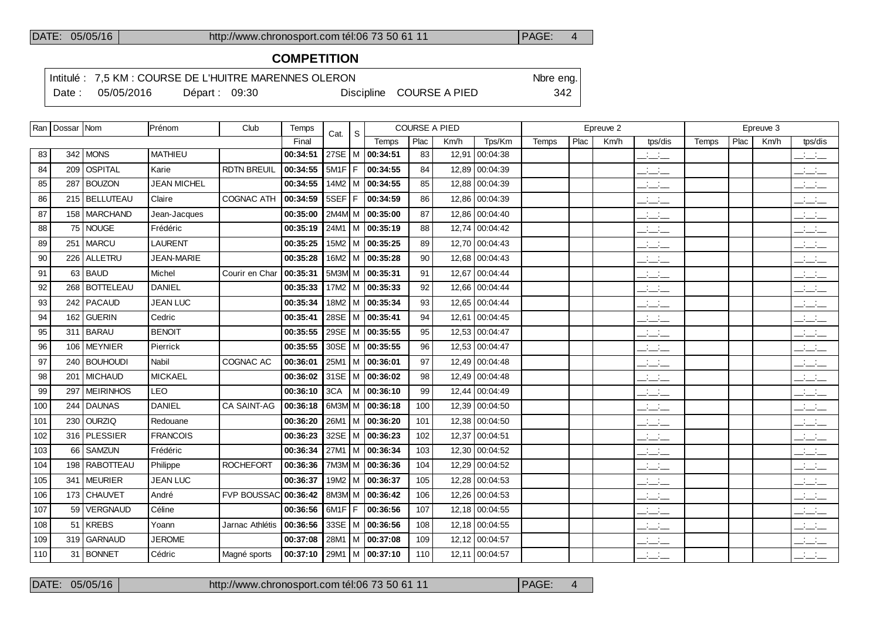# **COMPETITION**

Intitulé : 7,5 KM : COURSE DE L'HUITRE MARENNES OLERON Note eng.

Date : 05/05/2016 Départ : 09:30 Discipline COURSE A PIED 342

|     | Ran   Dossar   Nom |                 | Prénom             | Club                 | Temps                    | Cat.     | $\mathsf S$ |                     | <b>COURSE A PIED</b> |       |                |              |      | Epreuve 2 |                                   |       |      | Epreuve 3 |                                           |
|-----|--------------------|-----------------|--------------------|----------------------|--------------------------|----------|-------------|---------------------|----------------------|-------|----------------|--------------|------|-----------|-----------------------------------|-------|------|-----------|-------------------------------------------|
|     |                    |                 |                    |                      | Final                    |          |             | Temps               | Plac                 | Km/h  | Tps/Km         | <b>Temps</b> | Plac | Km/h      | tps/dis                           | Temps | Plac | Km/h      | tps/dis                                   |
| 83  |                    | 342   MONS      | <b>MATHIEU</b>     |                      | 00:34:51                 | 27SE   M |             | 00:34:51            | 83                   |       | 12,91 00:04:38 |              |      |           | $ -$                              |       |      |           | $\frac{1}{2}$ $\frac{1}{2}$ $\frac{1}{2}$ |
| 84  |                    | 209   OSPITAL   | Karie              | <b>RDTN BREUIL</b>   | 00:34:55                 | $5M1F$ F |             | 00:34:55            | 84                   |       | 12,89 00:04:39 |              |      |           | $\frac{1}{2}$                     |       |      |           | $\frac{1}{2}$ and $\frac{1}{2}$           |
| 85  |                    | 287 BOUZON      | <b>JEAN MICHEL</b> |                      | 00:34:55                 | 14M2   M |             | 00:34:55            | 85                   | 12,88 | 00:04:39       |              |      |           | $\frac{1}{2}$ and $\frac{1}{2}$   |       |      |           | $ -$                                      |
| 86  |                    | 215 BELLUTEAU   | Claire             | <b>COGNAC ATH</b>    | 00:34:59                 | 5SEF F   |             | 00:34:59            | 86                   | 12,86 | 00:04:39       |              |      |           | $\mathbb{Z}$ and $\mathbb{Z}$     |       |      |           | $\mathbb{Z}$ and $\mathbb{Z}$             |
| 87  |                    | 158 MARCHAND    | Jean-Jacques       |                      | 00:35:00                 | 2M4M M   |             | 00:35:00            | 87                   |       | 12,86 00:04:40 |              |      |           | للأسائب                           |       |      |           | $\frac{1}{2}$ and $\frac{1}{2}$           |
| 88  |                    | 75 NOUGE        | Frédéric           |                      | 00:35:19                 | 24M1   M |             | 00:35:19            | 88                   | 12,74 | 00:04:42       |              |      |           | $ -$                              |       |      |           | $ -$                                      |
| 89  |                    | 251   MARCU     | <b>LAURENT</b>     |                      | 00:35:25                 | 15M2   M |             | 00:35:25            | 89                   |       | 12.70 00:04:43 |              |      |           | $\frac{1}{2}$                     |       |      |           | $\mathbb{R}$ and $\mathbb{R}$             |
| 90  |                    | 226 ALLETRU     | <b>JEAN-MARIE</b>  |                      | 00:35:28                 |          |             | 16M2   M   00:35:28 | 90                   |       | 12,68 00:04:43 |              |      |           | <b>Contract</b><br>---            |       |      |           | $\frac{1}{2}$ and $\frac{1}{2}$           |
| 91  |                    | 63 BAUD         | Michel             | Courir en Char       | 00:35:31                 | 5M3Ml M  |             | 00:35:31            | 91                   | 12.67 | 00:04:44       |              |      |           | $\frac{1}{2}$                     |       |      |           | $\mathbb{Z}$ and $\mathbb{Z}$             |
| 92  |                    | 268   BOTTELEAU | <b>DANIEL</b>      |                      | 00:35:33                 | 17M2   M |             | 00:35:33            | 92                   | 12.66 | 00:04:44       |              |      |           | $\frac{1}{2}$ and $\frac{1}{2}$   |       |      |           | $\frac{1}{2}$ and $\frac{1}{2}$           |
| 93  |                    | 242 PACAUD      | <b>JEAN LUC</b>    |                      | 00:35:34                 | 18M2   M |             | 00:35:34            | 93                   |       | 12.65 00:04:44 |              |      |           | <b>Contract</b><br>$  -$          |       |      |           | $\overline{\phantom{a}}$                  |
| 94  |                    | 162 GUERIN      | Cedric             |                      | 00:35:41                 | 28SE     | м           | 00:35:41            | 94                   | 12.61 | 00:04:45       |              |      |           | للأساس                            |       |      |           | $\overline{\phantom{a}}$                  |
| 95  |                    | 311 BARAU       | <b>BENOIT</b>      |                      | 00:35:55                 | 29SE   M |             | 00:35:55            | 95                   |       | 12.53 00:04:47 |              |      |           | <b>Contract</b><br>$  -$          |       |      |           | $\mathbb{Z}$ and $\mathbb{Z}$             |
| 96  |                    | 106 MEYNIER     | Pierrick           |                      | 00:35:55                 | $30SE$ M |             | 00:35:55            | 96                   |       | 12,53 00:04:47 |              |      |           | $\frac{1}{2}$ and $\frac{1}{2}$   |       |      |           | $\frac{1}{2}$ and $\frac{1}{2}$           |
| 97  |                    | 240 BOUHOUDI    | Nabil              | <b>COGNAC AC</b>     | 00:36:01                 | 25M1   M |             | 00:36:01            | 97                   |       | 12,49 00:04:48 |              |      |           | $\frac{1}{2}$                     |       |      |           | $\mathbb{R}$ and $\mathbb{R}$             |
| 98  |                    | 201   MICHAUD   | <b>MICKAEL</b>     |                      | 00:36:02                 | 31SE   M |             | 00:36:02            | 98                   |       | 12,49 00:04:48 |              |      |           | $\overline{\phantom{a}}$          |       |      |           | $\overline{\phantom{a}}$                  |
| 99  |                    | 297   MEIRINHOS | <b>LEO</b>         |                      | 00:36:10                 | 3CA      |             | M 00:36:10          | 99                   |       | 12,44 00:04:49 |              |      |           | $ -$                              |       |      |           | $ -$                                      |
| 100 |                    | 244   DAUNAS    | <b>DANIEL</b>      | CA SAINT-AG          | 00:36:18                 |          |             | 6M3M M 00:36:18     | 100                  | 12,39 | 00:04:50       |              |      |           | $\frac{1}{2}$ and $\frac{1}{2}$   |       |      |           | $\overline{\phantom{a}}$                  |
| 101 |                    | 230 OURZIQ      | Redouane           |                      | 00:36:20                 | 26M1   M |             | 00:36:20            | 101                  | 12,38 | 00:04:50       |              |      |           | $\frac{1}{2}$ and $\frac{1}{2}$   |       |      |           | $\frac{1}{2}$ and $\frac{1}{2}$           |
| 102 |                    | 316 PLESSIER    | <b>FRANCOIS</b>    |                      | 00:36:23                 | 32SE   M |             | 00:36:23            | 102                  |       | 12,37 00:04:51 |              |      |           | $\frac{1}{2}$ and $\frac{1}{2}$   |       |      |           | $  -$                                     |
| 103 |                    | 66 SAMZUN       | Frédéric           |                      | 00:36:34                 | 27M1   M |             | 00:36:34            | 103                  |       | 12,30 00:04:52 |              |      |           | $\sim 10^{-1}$ km<br>$  -$        |       |      |           | $\mathbb{Z}$ and $\mathbb{Z}$             |
| 104 |                    | 198 RABOTTEAU   | Philippe           | <b>ROCHEFORT</b>     | 00:36:36                 | 7M3M M   |             | 00:36:36            | 104                  | 12,29 | 00:04:52       |              |      |           | سأنسأ                             |       |      |           | $\overline{\phantom{a}}$                  |
| 105 |                    | 341   MEURIER   | <b>JEAN LUC</b>    |                      | 00:36:37                 | 19M2   M |             | 00:36:37            | 105                  | 12,28 | 00:04:53       |              |      |           | $\frac{1}{2}$ and $\frac{1}{2}$   |       |      |           | $ -$                                      |
| 106 |                    | 173 CHAUVET     | André              | FVP BOUSSAC 00:36:42 |                          | 8M3M  M  |             | 00:36:42            | 106                  |       | 12,26 00:04:53 |              |      |           | <b>Contract Contract</b><br>$  -$ |       |      |           | $  -$                                     |
| 107 |                    | 59 VERGNAUD     | Céline             |                      | 00:36:56                 | $6M1F$ F |             | 00:36:56            | 107                  |       | 12,18 00:04:55 |              |      |           | <b>Contract Contract</b><br>$  -$ |       |      |           | <b>Service</b><br>$  -$                   |
| 108 |                    | 51 KREBS        | Yoann              | Jarnac Athlétis      | 00:36:56 33SE M 00:36:56 |          |             |                     | 108                  |       | 12,18 00:04:55 |              |      |           |                                   |       |      |           |                                           |

 319 GARNAUD JEROME **00:37:08** 28M1 M **00:37:08** 109 12,12 00:04:57 \_\_:\_\_:\_\_ \_\_:\_\_:\_\_ 31 BONNET Cédric Magné sports **00:37:10** 29M1 M **00:37:10** 110 12,11 00:04:57 \_\_:\_\_:\_\_ \_\_:\_\_:\_\_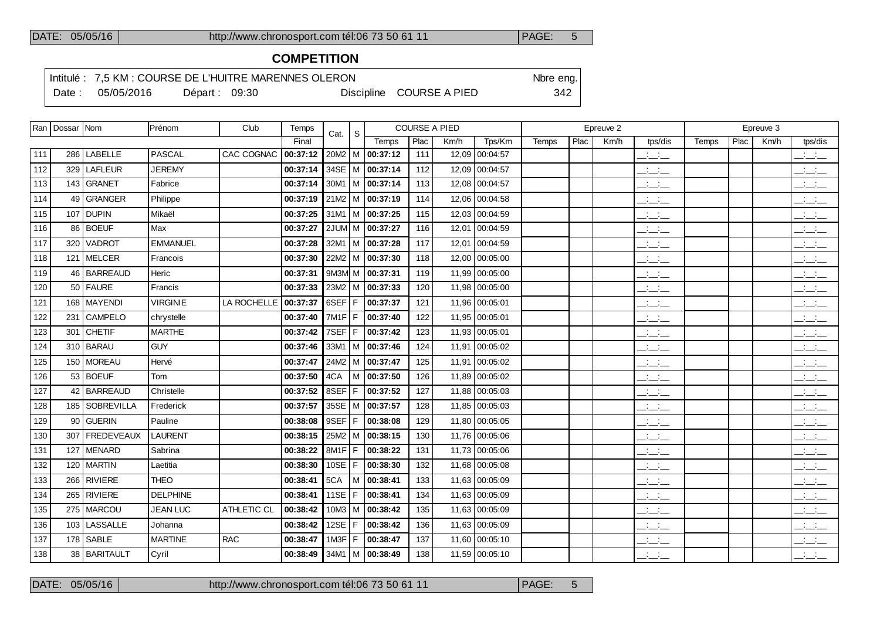# **COMPETITION**

┯

Intitulé : 7,5 KM : COURSE DE L'HUITRE MARENNES OLERON Note eng.

Date : 05/05/2016 Départ : 09:30 Discipline COURSE A PIED 342

|     | Ran   Dossar   Nom |                | Prénom          | Club        | Temps    | Cat.       | S     |                       | <b>COURSE A PIED</b> |       |                |       |      | Epreuve 2 |                                                                      |              |      | Epreuve 3 |                                           |
|-----|--------------------|----------------|-----------------|-------------|----------|------------|-------|-----------------------|----------------------|-------|----------------|-------|------|-----------|----------------------------------------------------------------------|--------------|------|-----------|-------------------------------------------|
|     |                    |                |                 |             | Final    |            |       | Temps                 | Plac                 | Km/h  | Tps/Km         | Temps | Plac | Km/h      | tps/dis                                                              | <b>Temps</b> | Plac | Km/h      | tps/dis                                   |
| 111 |                    | 286   LABELLE  | <b>PASCAL</b>   | CAC COGNAC  | 00:37:12 |            |       | $20M2$   M   00:37:12 | 111                  | 12,09 | 00:04:57       |       |      |           | $\overline{\phantom{a}}$                                             |              |      |           | $\mathbb{R}$ and $\mathbb{R}$             |
| 112 |                    | 329 LAFLEUR    | <b>JEREMY</b>   |             | 00:37:14 |            |       | 34SE   M   00:37:14   | 112                  | 12,09 | 00:04:57       |       |      |           | $\frac{1}{2}$                                                        |              |      |           | للمستنقذ                                  |
| 113 |                    | 143 GRANET     | Fabrice         |             | 00:37:14 |            |       | $30M1$   M   00:37:14 | 113                  | 12,08 | 00:04:57       |       |      |           | $\frac{1}{2}$ and $\frac{1}{2}$                                      |              |      |           | للمستنقذ                                  |
| 114 |                    | 49 GRANGER     | Philippe        |             | 00:37:19 |            |       | $21M2$ M $ $ 00:37:19 | 114                  | 12.06 | 00:04:58       |       |      |           | $\overline{\phantom{a}}$                                             |              |      |           | $\overline{\phantom{a}}$                  |
| 115 | 107                | <b>DUPIN</b>   | Mikaël          |             | 00:37:25 |            |       | $31M1$ M $ 00:37:25$  | 115                  | 12,03 | 00:04:59       |       |      |           | $\overline{\phantom{a}}$                                             |              |      |           | للمستنقذ                                  |
| 116 |                    | 86 BOEUF       | Max             |             | 00:37:27 |            |       | 2JUM M 00:37:27       | 116                  | 12,01 | 00:04:59       |       |      |           | $\overline{\phantom{a}}$                                             |              |      |           | $\overline{\phantom{a}}$                  |
| 117 | 320                | <b>VADROT</b>  | <b>EMMANUEL</b> |             | 00:37:28 |            |       | 32M1   M   00:37:28   | 117                  | 12,01 | 00:04:59       |       |      |           | للأسائب                                                              |              |      |           | $\frac{1}{2}$                             |
| 118 |                    | 121   MELCER   | Francois        |             | 00:37:30 |            |       | $22M2$ M $ $ 00:37:30 | 118                  | 12,00 | 00:05:00       |       |      |           | $\overline{\phantom{a}}$                                             |              |      |           | $\overline{\phantom{a}}$                  |
| 119 |                    | 46   BARREAUD  | Heric           |             | 00:37:31 |            |       | 9M3M M 00:37:31       | 119                  | 11,99 | 00:05:00       |       |      |           | للأسائد                                                              |              |      |           | $\frac{1}{2}$ $\frac{1}{2}$ $\frac{1}{2}$ |
| 120 |                    | $50$ FAURE     | Francis         |             | 00:37:33 |            |       | $23M2$   M   00:37:33 | 120                  | 11,98 | 00:05:00       |       |      |           | $\frac{1}{2}$                                                        |              |      |           | $\frac{1}{2}$                             |
| 121 |                    | 168   MAYENDI  | <b>VIRGINIE</b> | LA ROCHELLE | 00:37:37 |            |       | 6SEF   F   00:37:37   | 121                  | 11,96 | 00:05:01       |       |      |           | $\overline{\phantom{a}}$                                             |              |      |           | $\frac{1}{2}$ and $\frac{1}{2}$           |
| 122 |                    | 231 CAMPELO    | chrystelle      |             | 00:37:40 |            |       | 7M1F   F   00:37:40   | 122                  |       | 11,95 00:05:01 |       |      |           | سأساب                                                                |              |      |           | $\mathcal{L} = \mathcal{L}$               |
| 123 | 301                | <b>CHETIF</b>  | <b>MARTHE</b>   |             | 00:37:42 | 7SEF F     |       | 00:37:42              | 123                  | 11,93 | 00:05:01       |       |      |           | $\overline{\phantom{a}}$                                             |              |      |           | $\overline{\phantom{a}}$                  |
| 124 |                    | 310 BARAU      | <b>GUY</b>      |             | 00:37:46 |            |       | $33M1$   M   00:37:46 | 124                  |       | 11,91 00:05:02 |       |      |           | $\mathcal{A}^{\mathcal{A}}$ and $\mathcal{A}^{\mathcal{A}}$<br>$  -$ |              |      |           | للمستنقذ                                  |
| 125 |                    | 150   MOREAU   | Hervé           |             | 00:37:47 |            |       | 24M2   M   00:37:47   | 125                  | 11.91 | 00:05:02       |       |      |           | $\frac{1}{2}$                                                        |              |      |           | $\frac{1}{2}$                             |
| 126 |                    | $53$ BOEUF     | Tom             |             | 00:37:50 | 4CA        |       | $M$ 00:37:50          | 126                  | 11,89 | 00:05:02       |       |      |           | $\overline{\phantom{a}}$                                             |              |      |           | $\overline{\phantom{a}}$                  |
| 127 |                    | 42 BARREAUD    | Christelle      |             | 00:37:52 | 8SEF       | F     | 00:37:52              | 127                  | 11,88 | 00:05:03       |       |      |           | للأسائل                                                              |              |      |           | $\mathbb{R}$ and $\mathbb{R}$             |
| 128 |                    | 185 SOBREVILLA | Frederick       |             | 00:37:57 |            |       | 35SE   M   00:37:57   | 128                  |       | 11,85 00:05:03 |       |      |           | $\frac{1}{2}$                                                        |              |      |           | $\frac{1}{2}$                             |
| 129 |                    | 90 GUERIN      | Pauline         |             | 00:38:08 |            |       | 9SEF   F   00:38:08   | 129                  | 11,80 | 00:05:05       |       |      |           | <b>Contract</b><br>$  -$                                             |              |      |           | $\frac{1}{2}$                             |
| 130 | 307                | FREDEVEAUX     | <b>LAURENT</b>  |             | 00:38:15 |            |       | $25M2$ M $ $ 00:38:15 | 130                  |       | 11,76 00:05:06 |       |      |           | للأسائل                                                              |              |      |           | $\frac{1}{2}$ and $\frac{1}{2}$           |
| 131 | 127                | <b>MENARD</b>  | Sabrina         |             | 00:38:22 | 8M1F F     |       | 00:38:22              | 131                  | 11.73 | 00:05:06       |       |      |           | $\overline{\phantom{a}}$                                             |              |      |           | $\overline{\phantom{a}}$                  |
| 132 |                    | $120$ MARTIN   | Laetitia        |             | 00:38:30 | $10SE$ $F$ |       | 00:38:30              | 132                  | 11,68 | 00:05:08       |       |      |           | <b>Service</b><br>$  -$                                              |              |      |           | $\frac{1}{2}$                             |
| 133 |                    | 266 RIVIERE    | <b>THEO</b>     |             | 00:38:41 | 5CA        |       | $M$ 00:38:41          | 133                  | 11,63 | 00:05:09       |       |      |           | للمنافث                                                              |              |      |           | $\frac{1}{2}$                             |
| 134 |                    | 265 RIVIERE    | <b>DELPHINE</b> |             | 00:38:41 | 11SE       | l F I | 00:38:41              | 134                  | 11.63 | 00:05:09       |       |      |           | $\frac{1}{2}$ and $\frac{1}{2}$                                      |              |      |           | $\frac{1}{2}$                             |
| 135 |                    | 275   MARCOU   | <b>JEAN LUC</b> | ATHLETIC CL | 00:38:42 |            |       | 10M3   M   00:38:42   | 135                  | 11,63 | 00:05:09       |       |      |           | $\frac{1}{2}$ and $\frac{1}{2}$                                      |              |      |           | $\mathbb{R}$ and $\mathbb{R}$             |
| 136 |                    | 103   LASSALLE | Johanna         |             | 00:38:42 | 12SE $ F $ |       | 00:38:42              | 136                  | 11,63 | 00:05:09       |       |      |           | $\frac{1}{2}$ and $\frac{1}{2}$                                      |              |      |           | $\frac{1}{2}$                             |
| 137 |                    | $178$ SABLE    | <b>MARTINE</b>  | <b>RAC</b>  | 00:38:47 | $1$ M3F    |       | $F$ 00:38:47          | 137                  | 11,60 | 00:05:10       |       |      |           | $\mathbb{R}$ and $\mathbb{R}$                                        |              |      |           | $\mathcal{L} = \mathcal{L}$               |
| 138 |                    | 38   BARITAULT | Cyril           |             | 00:38:49 |            |       | $34M1$   M   00:38:49 | 138                  |       | 11,59 00:05:10 |       |      |           | $\overline{\phantom{a}}$                                             |              |      |           | $\frac{1}{2}$ and $\frac{1}{2}$           |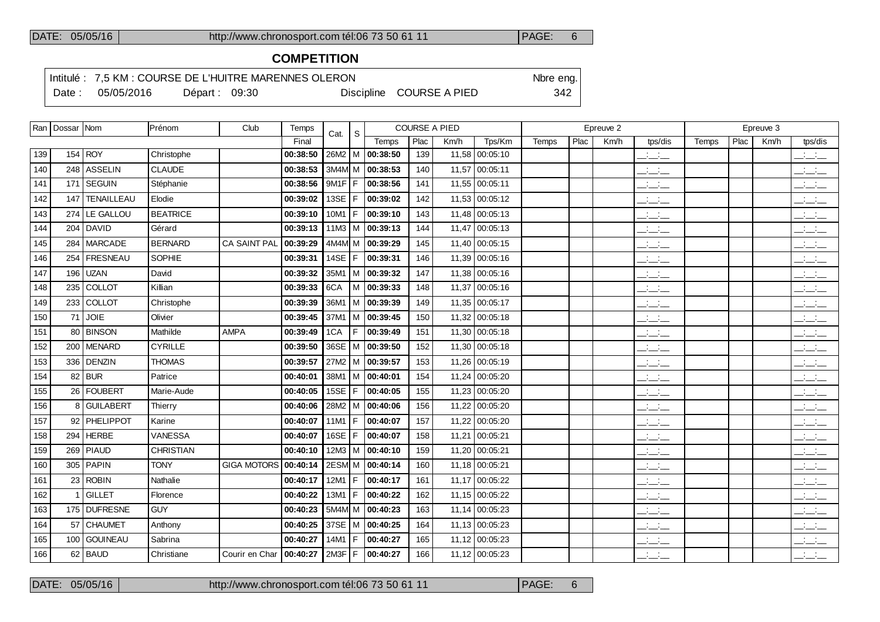# **COMPETITION**

Intitulé : 7,5 KM : COURSE DE L'HUITRE MARENNES OLERON Nore eng.

Date : 05/05/2016 Départ : 09:30 Discipline COURSE A PIED 342

|     | Ran   Dossar   Nom |                   | Prénom          | Club                      | Temps    | Cat.       | S.  |                       | COURSE A PIED |      |                |       |      | Epreuve 2 |                                                                      |       |      | Epreuve 3 |                                                   |
|-----|--------------------|-------------------|-----------------|---------------------------|----------|------------|-----|-----------------------|---------------|------|----------------|-------|------|-----------|----------------------------------------------------------------------|-------|------|-----------|---------------------------------------------------|
|     |                    |                   |                 |                           | Final    |            |     | Temps                 | Plac          | Km/h | Tps/Km         | Temps | Plac | Km/h      | tps/dis                                                              | Temps | Plac | Km/h      | tps/dis                                           |
| 139 |                    | 154 ROY           | Christophe      |                           | 00:38:50 |            |     | 26M2   M   00:38:50   | 139           |      | 11,58 00:05:10 |       |      |           | للأسائب                                                              |       |      |           | $\overline{\phantom{a}}$                          |
| 140 | 248                | <b>ASSELIN</b>    | <b>CLAUDE</b>   |                           | 00:38:53 |            |     | $3M4M$ M $ 00:38:53$  | 140           |      | 11,57 00:05:11 |       |      |           | $\mathcal{A}^{\mathcal{A}}$ and $\mathcal{A}^{\mathcal{A}}$<br>$  -$ |       |      |           | $\sim 10^{-1}$ m $^{-1}$<br>---                   |
| 141 | 171                | <b>SEGUIN</b>     | Stéphanie       |                           | 00:38:56 | 9M1F F     |     | 00:38:56              | 141           |      | 11,55 00:05:11 |       |      |           | للأسائل                                                              |       |      |           | $\frac{1}{2}$ and $\frac{1}{2}$                   |
| 142 | 147                | <b>TENAILLEAU</b> | Elodie          |                           | 00:39:02 | 13SE   F   |     | 00:39:02              | 142           |      | 11,53 00:05:12 |       |      |           | <b>Service</b><br>$  -$                                              |       |      |           | $  -$                                             |
| 143 | 274                | LE GALLOU         | <b>BEATRICE</b> |                           | 00:39:10 | 10M1       | F   | 00:39:10              | 143           |      | 11,48 00:05:13 |       |      |           | $\frac{1}{2}$                                                        |       |      |           | $\frac{1}{2}$ $\frac{1}{2}$ $\frac{1}{2}$         |
| 144 |                    | $204$ DAVID       | Gérard          |                           | 00:39:13 |            |     | 11M3   M $ $ 00:39:13 | 144           |      | 11,47 00:05:13 |       |      |           | $\overline{\phantom{a}}$                                             |       |      |           | <b>Contract</b><br>$  -$                          |
| 145 | 284                | <b>MARCADE</b>    | <b>BERNARD</b>  | <b>CA SAINT PAL</b>       | 00:39:29 |            |     | 4M4M M 00:39:29       | 145           |      | 11.40 00:05:15 |       |      |           | $\frac{1}{2}$                                                        |       |      |           | $\frac{1}{2}$ and $\frac{1}{2}$                   |
| 146 | 254                | <b>FRESNEAU</b>   | SOPHIE          |                           | 00:39:31 | 14SE   F   |     | 00:39:31              | 146           |      | 11,39 00:05:16 |       |      |           | $\frac{1}{2}$                                                        |       |      |           | $\alpha$ , $\beta$ , $\alpha$<br>$  -$            |
| 147 | 196                | <b>UZAN</b>       | David           |                           | 00:39:32 |            |     | 35M1   M   00:39:32   | 147           |      | 11,38 00:05:16 |       |      |           | $\mathcal{L} = \mathcal{L}$                                          |       |      |           | $\frac{1}{2}$                                     |
| 148 | 235                | <b>COLLOT</b>     | Killian         |                           | 00:39:33 | 6CA        |     | $M$ 00:39:33          | 148           |      | 11,37 00:05:16 |       |      |           | للمناب                                                               |       |      |           | $\frac{1}{2}$                                     |
| 149 |                    | 233 COLLOT        | Christophe      |                           | 00:39:39 |            |     | 36M1 M 00:39:39       | 149           |      | 11.35 00:05:17 |       |      |           | $ -$                                                                 |       |      |           | $\overline{\phantom{a}}$ $\overline{\phantom{a}}$ |
| 150 | 71                 | <b>JOIE</b>       | Olivier         |                           | 00:39:45 |            |     | 37M1   M   00:39:45   | 150           |      | 11,32 00:05:18 |       |      |           | $  -$                                                                |       |      |           | $\overline{\phantom{a}}$                          |
| 151 |                    | 80 BINSON         | Mathilde        | <b>AMPA</b>               | 00:39:49 | 1CA        |     | F 00:39:49            | 151           |      | 11,30 00:05:18 |       |      |           | $\frac{1}{2}$                                                        |       |      |           | $  -$                                             |
| 152 |                    | 200 MENARD        | <b>CYRILLE</b>  |                           | 00:39:50 |            |     | 36SE   M   00:39:50   | 152           |      | 11,30 00:05:18 |       |      |           | $\frac{1}{2}$ and $\frac{1}{2}$                                      |       |      |           | $\overline{\phantom{a}}$                          |
| 153 |                    | 336 DENZIN        | <b>THOMAS</b>   |                           | 00:39:57 |            |     | 27M2   M   00:39:57   | 153           |      | 11,26 00:05:19 |       |      |           | $\frac{1}{2}$ and $\frac{1}{2}$                                      |       |      |           | $\frac{1}{2}$ and $\frac{1}{2}$                   |
| 154 |                    | $82$ BUR          | Patrice         |                           | 00:40:01 |            |     | 38M1   M   00:40:01   | 154           |      | 11,24 00:05:20 |       |      |           | $ -$                                                                 |       |      |           | $\frac{1}{2}$                                     |
| 155 |                    | 26   FOUBERT      | Marie-Aude      |                           | 00:40:05 |            |     | 15SE   F   00:40:05   | 155           |      | 11,23 00:05:20 |       |      |           | للأسائد                                                              |       |      |           | $\frac{1}{2}$ and $\frac{1}{2}$                   |
| 156 | 8                  | <b>GUILABERT</b>  | Thierry         |                           | 00:40:06 |            |     | 28M2   M   00:40:06   | 156           |      | 11,22 00:05:20 |       |      |           | للأسائد                                                              |       |      |           | $\frac{1}{2}$                                     |
| 157 |                    | 92 PHELIPPOT      | Karine          |                           | 00:40:07 |            |     | 11M1   F   00:40:07   | 157           |      | 11,22 00:05:20 |       |      |           | $\frac{1}{2}$                                                        |       |      |           | $\mathbb{Z}$ and $\mathbb{Z}$                     |
| 158 | 294                | <b>HERBE</b>      | VANESSA         |                           | 00:40:07 | 16SE $ F $ |     | 00:40:07              | 158           |      | 11,21 00:05:21 |       |      |           | $ -$                                                                 |       |      |           | $\frac{1}{2}$ $\frac{1}{2}$ $\frac{1}{2}$         |
| 159 | 269                | <b>PIAUD</b>      | CHRISTIAN       |                           | 00:40:10 |            |     | $12M3$   M   00:40:10 | 159           |      | 11,20 00:05:21 |       |      |           | <b>Service</b><br>$  -$                                              |       |      |           | <b>Contract</b><br>$  -$                          |
| 160 |                    | 305   PAPIN       | <b>TONY</b>     | <b>GIGA MOTORS</b>        | 00:40:14 |            |     | 2ESM M 00:40:14       | 160           |      | 11,18 00:05:21 |       |      |           | للمستحق                                                              |       |      |           | $\overline{\phantom{a}}$                          |
| 161 |                    | $23$ ROBIN        | Nathalie        |                           | 00:40:17 | $12M1$ F   |     | 00:40:17              | 161           |      | 11,17 00:05:22 |       |      |           | $\frac{1}{2}$                                                        |       |      |           | $\frac{1}{2}$ and $\frac{1}{2}$                   |
| 162 |                    | l GILLET          | Florence        |                           | 00:40:22 | 13M1       | F   | 00:40:22              | 162           |      | 11,15 00:05:22 |       |      |           | $\mathcal{L} = \mathcal{L}$                                          |       |      |           | $\frac{1}{2}$ and $\frac{1}{2}$                   |
| 163 |                    | 175 DUFRESNE      | <b>GUY</b>      |                           | 00:40:23 |            |     | 5M4M M $ $ 00:40:23   | 163           |      | 11,14 00:05:23 |       |      |           | <b>Contract Contract</b><br>— — —                                    |       |      |           | $\frac{1}{2}$ and $\frac{1}{2}$                   |
| 164 | 57                 | <b>CHAUMET</b>    | Anthony         |                           | 00:40:25 |            |     | 37SE   M   00:40:25   | 164           |      | 11,13 00:05:23 |       |      |           | سأسأب                                                                |       |      |           | للأسائل                                           |
| 165 | 100                | GOUINEAU          | Sabrina         |                           | 00:40:27 | 14M1       | F   | 00:40:27              | 165           |      | 11,12 00:05:23 |       |      |           | $ -$                                                                 |       |      |           | $\overline{\phantom{a}}$ $\overline{\phantom{a}}$ |
| 166 |                    | $62$ BAUD         | Christiane      | Courir en Char   00:40:27 |          | 2M3F       | IF. | 00:40:27              | 166           |      | 11,12 00:05:23 |       |      |           | $\mathcal{A}^{\mathcal{A}}$ and $\mathcal{A}^{\mathcal{A}}$<br>$  -$ |       |      |           | للأساس                                            |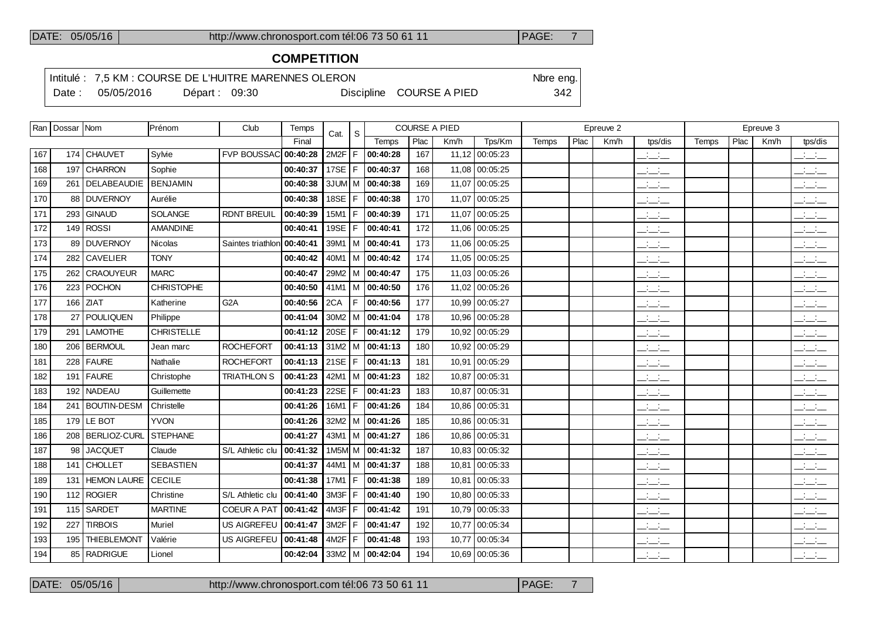# **COMPETITION**

Intitulé : 7,5 KM : COURSE DE L'HUITRE MARENNES OLERON Note eng.

Date : 05/05/2016 Départ : 09:30 Discipline COURSE A PIED 342

|  |  |  | $\ddot{\phantom{0}}$ |  |
|--|--|--|----------------------|--|
|  |  |  |                      |  |
|  |  |  |                      |  |
|  |  |  |                      |  |

|     | Ran   Dossar   Nom |                    | Prénom            | Club                        | Temps    | Cat.              | -S    |                       | <b>COURSE A PIED</b> |       |                |       |      | Epreuve 2 |                                                                      |       |      | Epreuve 3 |                                                       |
|-----|--------------------|--------------------|-------------------|-----------------------------|----------|-------------------|-------|-----------------------|----------------------|-------|----------------|-------|------|-----------|----------------------------------------------------------------------|-------|------|-----------|-------------------------------------------------------|
|     |                    |                    |                   |                             | Final    |                   |       | Temps                 | Plac                 | Km/h  | Tps/Km         | Temps | Plac | Km/h      | tps/dis                                                              | Temps | Plac | Km/h      | tps/dis                                               |
| 167 |                    | 174 CHAUVET        | Sylvie            | <b>FVP BOUSSAC 00:40:28</b> |          | 2M <sub>2</sub> F | F     | 00:40:28              | 167                  |       | 11,12 00:05:23 |       |      |           | $\frac{1}{2}$ and $\frac{1}{2}$                                      |       |      |           | $\frac{1}{2}$                                         |
| 168 |                    | 197 CHARRON        | Sophie            |                             | 00:40:37 | 17SE $ F $        |       | 00:40:37              | 168                  |       | 11,08 00:05:25 |       |      |           | $\frac{1}{2}$                                                        |       |      |           | $\frac{1}{2}$ and $\frac{1}{2}$                       |
| 169 | 261                | <b>DELABEAUDIE</b> | <b>BENJAMIN</b>   |                             | 00:40:38 | 3JUM M            |       | 00:40:38              | 169                  | 11,07 | 00:05:25       |       |      |           | $\frac{1}{2}$ and $\frac{1}{2}$                                      |       |      |           | $\overline{\phantom{a}}$ $\overline{\phantom{a}}$     |
| 170 |                    | 88 DUVERNOY        | Aurélie           |                             | 00:40:38 | 18SE $ F $        |       | 00:40:38              | 170                  |       | 11,07 00:05:25 |       |      |           | <b>Service</b><br>$  -$                                              |       |      |           | <b>Contract Contract</b><br>$  -$                     |
| 171 |                    | 293 GINAUD         | SOLANGE           | <b>RDNT BREUIL</b>          | 00:40:39 | 15M1              | F.    | 00:40:39              | 171                  | 11,07 | 00:05:25       |       |      |           | <b>Contract Contract</b><br>$  -$                                    |       |      |           | $\mathbb{R}$ and $\mathbb{R}$                         |
| 172 |                    | $149$ ROSSI        | AMANDINE          |                             | 00:40:41 | 19SE   F          |       | 00:40:41              | 172                  |       | 11,06 00:05:25 |       |      |           | $\mathcal{A}^{\mathcal{A}}$ and $\mathcal{A}^{\mathcal{A}}$<br>$  -$ |       |      |           | $\frac{1}{2}$ and $\frac{1}{2}$                       |
| 173 | 89                 | <b>DUVERNOY</b>    | <b>Nicolas</b>    | Saintes triathlon           | 00:40:41 | 39M1              |       | M 00:40:41            | 173                  |       | 11,06 00:05:25 |       |      |           | <b>Contract</b><br>$  -$                                             |       |      |           | $\mathbb{Z}$ and $\mathbb{Z}$                         |
| 174 |                    | 282 CAVELIER       | <b>TONY</b>       |                             | 00:40:42 | 40M1              |       | M 00:40:42            | 174                  |       | 11,05 00:05:25 |       |      |           | للمناصب                                                              |       |      |           | $  -$                                                 |
| 175 | 262                | <b>CRAOUYEUR</b>   | <b>MARC</b>       |                             | 00:40:47 | 29M2              |       | M 00:40:47            | 175                  |       | 11,03 00:05:26 |       |      |           | $\frac{1}{2}$ and $\frac{1}{2}$                                      |       |      |           | $\frac{1}{2}$ and $\frac{1}{2}$                       |
| 176 |                    | $223$ POCHON       | <b>CHRISTOPHE</b> |                             | 00:40:50 | 41M1              |       | $ M $ 00:40:50        | 176                  |       | 11,02 00:05:26 |       |      |           | $\overline{\phantom{a}}$                                             |       |      |           | $\overline{\phantom{a}}$ and $\overline{\phantom{a}}$ |
| 177 | 166                | <b>ZIAT</b>        | Katherine         | G <sub>2</sub> A            | 00:40:56 | 2CA               | F     | 00:40:56              | 177                  |       | 10,99 00:05:27 |       |      |           | $  -$                                                                |       |      |           | $\overline{\phantom{a}}$                              |
| 178 | 27                 | <b>POULIQUEN</b>   | Philippe          |                             | 00:41:04 |                   |       | $30M2$   M   00:41:04 | 178                  |       | 10,96 00:05:28 |       |      |           | $\overline{\phantom{a}}$                                             |       |      |           | $\frac{1}{2}$ $\frac{1}{2}$ $\frac{1}{2}$             |
| 179 | 291                | <b>LAMOTHE</b>     | <b>CHRISTELLE</b> |                             | 00:41:12 | 20SE $ F $        |       | 00:41:12              | 179                  | 10,92 | 00:05:29       |       |      |           | $\frac{1}{2}$ and $\frac{1}{2}$                                      |       |      |           | $\mathbb{Z}$ and $\mathbb{Z}$                         |
| 180 |                    | 206 BERMOUL        | Jean marc         | <b>ROCHEFORT</b>            | 00:41:13 |                   |       | 31M2 M 00:41:13       | 180                  |       | 10,92 00:05:29 |       |      |           | للأساد                                                               |       |      |           | للأسائل                                               |
| 181 | 228                | FAURE              | Nathalie          | <b>ROCHEFORT</b>            | 00:41:13 | 21SE $ F $        |       | 00:41:13              | 181                  | 10,91 | 00:05:29       |       |      |           | $\overline{a}$                                                       |       |      |           | $\frac{1}{2}$                                         |
| 182 |                    | 191   FAURE        | Christophe        | <b>TRIATHLON S</b>          | 00:41:23 |                   |       | $42M1$ M $ 00:41:23$  | 182                  | 10.87 | 00:05:31       |       |      |           | $\frac{1}{2}$ and $\frac{1}{2}$                                      |       |      |           | $\frac{1}{2}$ and $\frac{1}{2}$                       |
| 183 | 192                | <b>NADEAU</b>      | Guillemette       |                             | 00:41:23 | 22SE              | IF.   | 00:41:23              | 183                  | 10,87 | 00:05:31       |       |      |           | $\frac{1}{2}$ and $\frac{1}{2}$                                      |       |      |           | $\frac{1}{2}$ and $\frac{1}{2}$                       |
| 184 | 241                | <b>BOUTIN-DESM</b> | Christelle        |                             | 00:41:26 | 16M1              | l F.  | 00:41:26              | 184                  |       | 10.86 00:05:31 |       |      |           | $\frac{1}{2}$ and $\frac{1}{2}$                                      |       |      |           | للأسائل                                               |
| 185 |                    | $179$ LE BOT       | <b>YVON</b>       |                             | 00:41:26 |                   |       | 32M2   M   00:41:26   | 185                  |       | 10,86 00:05:31 |       |      |           | $\overline{\phantom{a}}$                                             |       |      |           | $\overline{\phantom{a}}$                              |
| 186 |                    | 208   BERLIOZ-CURL | <b>STEPHANE</b>   |                             | 00:41:27 | 43M1              |       | $ M $ 00:41:27        | 186                  |       | 10.86 00:05:31 |       |      |           | $\frac{1}{2}$ and $\frac{1}{2}$                                      |       |      |           | $\frac{1}{2}$ $\frac{1}{2}$ $\frac{1}{2}$             |
| 187 | 98 l               | JACQUET            | Claude            | S/L Athletic clu            | 00:41:32 |                   |       | 1M5M M 00:41:32       | 187                  |       | 10,83 00:05:32 |       |      |           | $\frac{1}{2}$ and $\frac{1}{2}$                                      |       |      |           | للأسائل                                               |
| 188 | 141                | <b>CHOLLET</b>     | <b>SEBASTIEN</b>  |                             | 00:41:37 | 44M1              |       | M 00:41:37            | 188                  | 10.81 | 00:05:33       |       |      |           | $\frac{1}{2}$ and $\frac{1}{2}$                                      |       |      |           | $\overline{\phantom{a}}$ and $\overline{\phantom{a}}$ |
| 189 | 131                | <b>HEMON LAURE</b> | <b>CECILE</b>     |                             | 00:41:38 | 17M1              | l F . | 00:41:38              | 189                  | 10,81 | 00:05:33       |       |      |           | $ -$                                                                 |       |      |           | $  -$                                                 |
| 190 |                    | 112 ROGIER         | Christine         | S/L Athletic clu            | 00:41:40 | 3M3F              | F     | 00:41:40              | 190                  |       | 10,80 00:05:33 |       |      |           | $  -$                                                                |       |      |           | $\frac{1}{2}$                                         |
| 191 | 115                | <b>SARDET</b>      | <b>MARTINE</b>    | <b>COEUR A PAT</b>          | 00:41:42 | 4M3F              | l F.  | 00:41:42              | 191                  |       | 10,79 00:05:33 |       |      |           | $\frac{1}{2}$ and $\frac{1}{2}$                                      |       |      |           | $ -$                                                  |
| 192 | 227                | <b>TIRBOIS</b>     | Muriel            | <b>US AIGREFEU</b>          | 00:41:47 | 3M <sub>2</sub> F | F     | 00:41:47              | 192                  | 10,77 | 00:05:34       |       |      |           | $\frac{1}{2}$ and $\frac{1}{2}$                                      |       |      |           | $\overline{\phantom{a}}$ $\overline{\phantom{a}}$     |
| 193 | 195                | <b>THIEBLEMONT</b> | Valérie           | US AIGREFEU                 | 00:41:48 | $4M2F$ F          |       | 00:41:48              | 193                  | 10.77 | 00:05:34       |       |      |           | للأسائب                                                              |       |      |           | $\frac{1}{2}$ $\frac{1}{2}$ $\frac{1}{2}$             |
| 194 |                    | 85 RADRIGUE        | Lionel            |                             | 00:42:04 |                   |       | $33M2$   M   00:42:04 | 194                  |       | 10,69 00:05:36 |       |      |           | $\frac{1}{2}$ and $\frac{1}{2}$                                      |       |      |           | $\frac{1}{2}$ and $\frac{1}{2}$                       |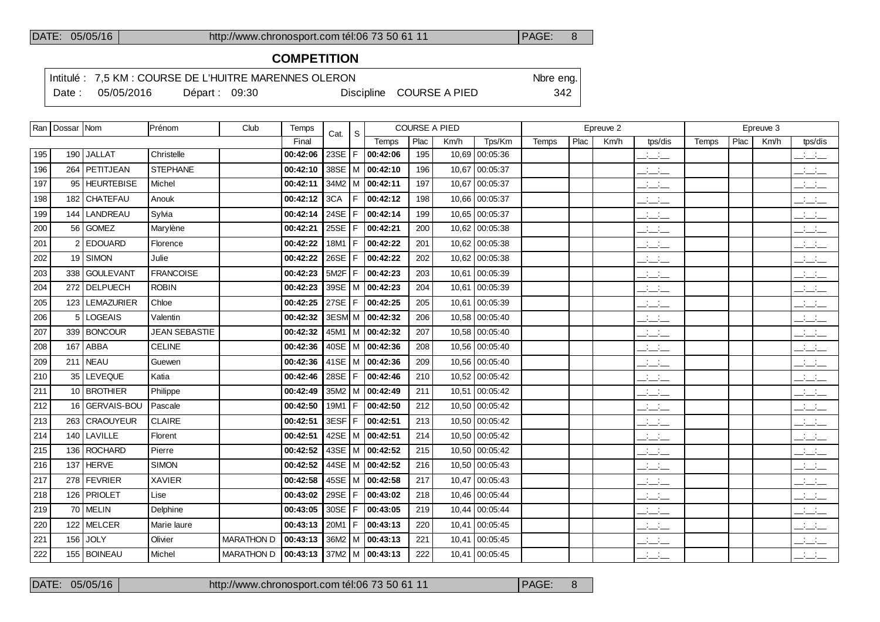# **COMPETITION**

Intitulé : 7,5 KM : COURSE DE L'HUITRE MARENNES OLERON Note eng.

Date : 05/05/2016 Départ : 09:30 Discipline COURSE A PIED 342

|     | Ran   Dossar   Nom |                  | Prénom               | Club              | Temps                    | Cat.       | <b>COURSE A PIED</b><br><sub>S</sub> |          |      |       |                |       | Epreuve 2 |      |                                     |       | Epreuve 3 |      |                                 |
|-----|--------------------|------------------|----------------------|-------------------|--------------------------|------------|--------------------------------------|----------|------|-------|----------------|-------|-----------|------|-------------------------------------|-------|-----------|------|---------------------------------|
|     |                    |                  |                      |                   | Final                    |            |                                      | Temps    | Plac | Km/h  | Tps/Km         | Temps | Plac      | Km/h | tps/dis                             | Temps | Plac      | Km/h | tps/dis                         |
| 195 |                    | 190 JALLAT       | Christelle           |                   | 00:42:06                 | 23SE $ F $ |                                      | 00:42:06 | 195  | 10,69 | 00:05:36       |       |           |      | $\overline{\phantom{a}}$            |       |           |      | للأسائل                         |
| 196 |                    | 264   PETITJEAN  | <b>STEPHANE</b>      |                   | 00:42:10                 | 38SE   M   |                                      | 00:42:10 | 196  | 10,67 | 00:05:37       |       |           |      | $\mathcal{L} = \mathcal{L}$         |       |           |      | $\mathbb{R}$ and $\mathbb{R}$   |
| 197 |                    | 95 HEURTEBISE    | Michel               |                   | 00:42:11                 | 34M2   M   |                                      | 00:42:11 | 197  | 10,67 | 00:05:37       |       |           |      | $\overline{\phantom{a}}$            |       |           |      | $\frac{1}{2}$                   |
| 198 |                    | 182 CHATEFAU     | Anouk                |                   | 00:42:12                 | 3CA        | E                                    | 00:42:12 | 198  |       | 10,66 00:05:37 |       |           |      | للأسائد                             |       |           |      | للأسائل                         |
| 199 |                    | 144 LANDREAU     | Sylvia               |                   | 00:42:14                 | 24SE       | l F.                                 | 00:42:14 | 199  |       | 10,65 00:05:37 |       |           |      | $\frac{1}{2}$                       |       |           |      | $\mathbb{R}$ and $\mathbb{R}$   |
| 200 |                    | 56 GOMEZ         | Marylène             |                   | 00:42:21                 | 25SE $ F $ |                                      | 00:42:21 | 200  | 10,62 | 00:05:38       |       |           |      | $\frac{1}{2}$ and $\frac{1}{2}$     |       |           |      | للأسائل                         |
| 201 |                    | 2 EDOUARD        | Florence             |                   | 00:42:22                 | $18M1$ F   |                                      | 00:42:22 | 201  |       | 10,62 00:05:38 |       |           |      | $\overline{\phantom{a}}$            |       |           |      | $\overline{\phantom{a}}$        |
| 202 |                    | 19 SIMON         | Julie                |                   | 00:42:22                 | $26SE$   F |                                      | 00:42:22 | 202  | 10,62 | 00:05:38       |       |           |      | $ -$                                |       |           |      | $\frac{1}{2}$ and $\frac{1}{2}$ |
| 203 |                    | 338 GOULEVANT    | <b>FRANCOISE</b>     |                   | 00:42:23                 | $5M2F$ F   |                                      | 00:42:23 | 203  |       | 10,61 00:05:39 |       |           |      | $\overline{\phantom{a}}$            |       |           |      | $\overline{\phantom{a}}$        |
| 204 |                    | 272 DELPUECH     | <b>ROBIN</b>         |                   | 00:42:23                 | 39SE   M   |                                      | 00:42:23 | 204  | 10.61 | 00:05:39       |       |           |      | سأساب                               |       |           |      | $\mathbb{R}$ and $\mathbb{R}$   |
| 205 |                    | 123   LEMAZURIER | Chloe                |                   | 00:42:25                 | 27SE $ F $ |                                      | 00:42:25 | 205  |       | 10,61 00:05:39 |       |           |      | للمناصب                             |       |           |      | $\overline{\phantom{a}}$        |
| 206 |                    | 5 LOGEAIS        | Valentin             |                   | 00:42:32                 | 3ESM M     |                                      | 00:42:32 | 206  |       | 10,58 00:05:40 |       |           |      | $\overline{\phantom{a}}$            |       |           |      | $\overline{\phantom{a}}$        |
| 207 |                    | 339 BONCOUR      | <b>JEAN SEBASTIE</b> |                   | 00:42:32                 | 45M1 M     |                                      | 00:42:32 | 207  |       | 10,58 00:05:40 |       |           |      | $\mathcal{L}_{\rm{max}}$ .<br>$  -$ |       |           |      | سأست                            |
| 208 | 167                | <b>ABBA</b>      | <b>CELINE</b>        |                   | 00:42:36                 | $40SE$ M   |                                      | 00:42:36 | 208  | 10.56 | 00:05:40       |       |           |      | <b>Contract</b><br>$  -$            |       |           |      | <b>Service</b><br>$  -$         |
| 209 |                    | $211$ NEAU       | Guewen               |                   | 00:42:36                 | 41SE $ M$  |                                      | 00:42:36 | 209  |       | 10,56 00:05:40 |       |           |      | $\overline{\phantom{a}}$            |       |           |      | للأسائل                         |
| 210 |                    | 35   LEVEQUE     | Katia                |                   | 00:42:46                 | 28SE $ F $ |                                      | 00:42:46 | 210  |       | 10,52 00:05:42 |       |           |      | $\overline{\phantom{a}}$            |       |           |      | $\mathbb{R}$ and $\mathbb{R}$   |
| 211 |                    | 10 BROTHIER      | Philippe             |                   | 00:42:49                 | $35M2$ M   |                                      | 00:42:49 | 211  |       | 10,51 00:05:42 |       |           |      | $\overline{\phantom{a}}$            |       |           |      | $\overline{\phantom{a}}$        |
| 212 | 16 I               | GERVAIS-BOU      | Pascale              |                   | 00:42:50                 | 19M1 $F$   |                                      | 00:42:50 | 212  | 10,50 | 00:05:42       |       |           |      | $\overline{\phantom{a}}$            |       |           |      | $\frac{1}{2}$                   |
| 213 |                    | 263 CRAOUYEUR    | <b>CLAIRE</b>        |                   | 00:42:51                 | $3ESF$ $F$ |                                      | 00:42:51 | 213  |       | 10,50 00:05:42 |       |           |      | $\frac{1}{2}$ and $\frac{1}{2}$     |       |           |      | $\overline{\phantom{a}}$        |
| 214 |                    | 140 LAVILLE      | Florent              |                   | 00:42:51                 | $42SE$ M   |                                      | 00:42:51 | 214  | 10,50 | 00:05:42       |       |           |      | $\overline{\phantom{a}}$            |       |           |      | $\frac{1}{2}$ and $\frac{1}{2}$ |
| 215 | 136 l              | ROCHARD          | Pierre               |                   | 00:42:52                 | 43SE $ M$  |                                      | 00:42:52 | 215  |       | 10,50 00:05:42 |       |           |      | $\frac{1}{2}$                       |       |           |      | $\mathbb{Z}$ and $\mathbb{Z}$   |
| 216 | 137                | <b>HERVE</b>     | <b>SIMON</b>         |                   | 00:42:52                 | 44SE   M   |                                      | 00:42:52 | 216  | 10,50 | 00:05:43       |       |           |      | للأسائل                             |       |           |      | $\frac{1}{2}$ and $\frac{1}{2}$ |
| 217 |                    | 278 FEVRIER      | <b>XAVIER</b>        |                   | 00:42:58                 | 45SE $ M$  |                                      | 00:42:58 | 217  |       | 10,47 00:05:43 |       |           |      | $\frac{1}{2}$                       |       |           |      | للأسائل                         |
| 218 | 126                | <b>PRIOLET</b>   | Lise                 |                   | 00:43:02                 | 29SE $ F $ |                                      | 00:43:02 | 218  |       | 10,46 00:05:44 |       |           |      | $\overline{\phantom{a}}$            |       |           |      | سأست                            |
| 219 |                    | 70 MELIN         | Delphine             |                   | 00:43:05                 | $30SE$   F |                                      | 00:43:05 | 219  |       | 10,44 00:05:44 |       |           |      | <b>Service</b><br>$  -$             |       |           |      | $\frac{1}{2}$                   |
| 220 | 122                | MELCER           | Marie laure          |                   | 00:43:13                 | $20M1$ F   |                                      | 00:43:13 | 220  |       | 10,41 00:05:45 |       |           |      | $\overline{\phantom{a}}$            |       |           |      | $\overline{a}$                  |
| 221 | 156                | JOLY             | Olivier              | MARATHON D        | 00:43:13                 | 36M2   M   |                                      | 00:43:13 | 221  |       | 10,41 00:05:45 |       |           |      | $ -$                                |       |           |      | $ -$                            |
| 222 |                    | 155 BOINEAU      | Michel               | <b>MARATHON D</b> | 00:43:13 37M2 M 00:43:13 |            |                                      |          | 222  |       | 10,41 00:05:45 |       |           |      | $\overline{\phantom{a}}$            |       |           |      | $\overline{\phantom{a}}$        |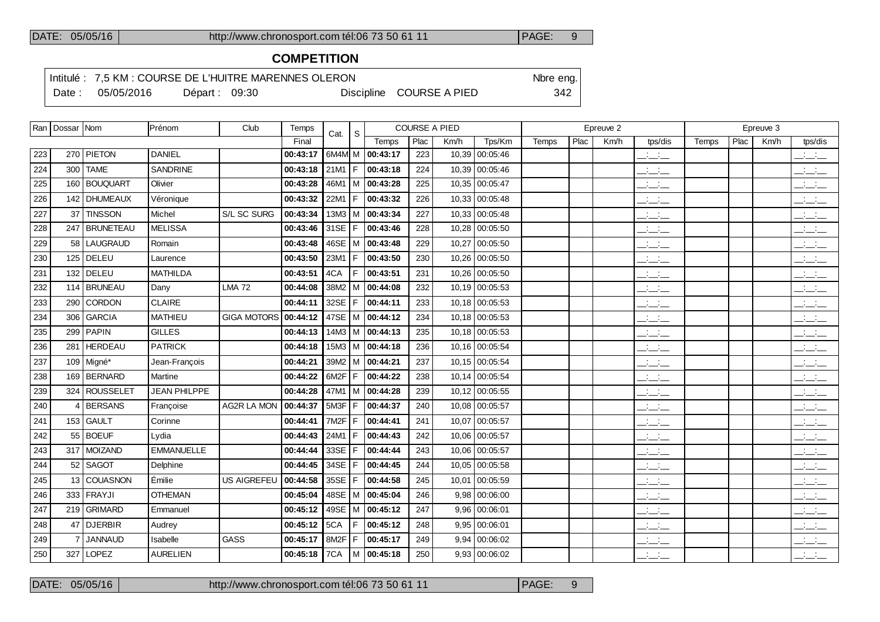# **COMPETITION**

Intitulé : 7,5 KM : COURSE DE L'HUITRE MARENNES OLERON Note eng.

Date : 05/05/2016 Départ : 09:30 Discipline COURSE A PIED 342

|     | Ran   Dossar   Nom |                | Prénom              | Club               | Temps    | Cat.              | S.  |                       |      | <b>COURSE A PIED</b> |                 |       |      | Epreuve 2 |                                 |       |      | Epreuve 3 |                                                       |
|-----|--------------------|----------------|---------------------|--------------------|----------|-------------------|-----|-----------------------|------|----------------------|-----------------|-------|------|-----------|---------------------------------|-------|------|-----------|-------------------------------------------------------|
|     |                    |                |                     |                    | Final    |                   |     | Temps                 | Plac | Km/h                 | Tps/Km          | Temps | Plac | Km/h      | tps/dis                         | Temps | Plac | Km/h      | tps/dis                                               |
| 223 |                    | 270 PIETON     | <b>DANIEL</b>       |                    | 00:43:17 |                   |     | 6M4M M 00:43:17       | 223  |                      | 10,39 00:05:46  |       |      |           | $\frac{1}{2}$                   |       |      |           | $\mathbb{R}$ and $\mathbb{R}$                         |
| 224 |                    | 300 TAME       | SANDRINE            |                    | 00:43:18 |                   |     | $21M1$   F   00:43:18 | 224  |                      | 10,39 00:05:46  |       |      |           | $\frac{1}{2}$                   |       |      |           | $\mathbb{Z}$ and $\mathbb{Z}$                         |
| 225 |                    | 160 BOUQUART   | Olivier             |                    | 00:43:28 |                   |     | 46M1 M 00:43:28       | 225  |                      | 10,35 00:05:47  |       |      |           | $\frac{1}{2}$ and $\frac{1}{2}$ |       |      |           | $\frac{1}{2}$                                         |
| 226 |                    | 142   DHUMEAUX | Véronique           |                    | 00:43:32 |                   |     | 22M1   F   00:43:32   | 226  |                      | 10,33 00:05:48  |       |      |           | $\frac{1}{2}$ and $\frac{1}{2}$ |       |      |           | $\mathbb{R}$ and $\mathbb{R}$                         |
| 227 |                    | 37 TINSSON     | Michel              | S/L SC SURG        | 00:43:34 | $13M3$ M          |     | 00:43:34              | 227  |                      | 10,33 00:05:48  |       |      |           | للمستحق                         |       |      |           | $\frac{1}{2}$ and $\frac{1}{2}$                       |
| 228 |                    | 247 BRUNETEAU  | <b>MELISSA</b>      |                    | 00:43:46 |                   |     | 31SE   F   00:43:46   | 228  |                      | 10,28 00:05:50  |       |      |           | <b>Contract</b><br>$  -$        |       |      |           | $\mathbb{R}$ and $\mathbb{R}$                         |
| 229 | 58                 | LAUGRAUD       | Romain              |                    | 00:43:48 | 46SE   M          |     | 00:43:48              | 229  |                      | 10,27 00:05:50  |       |      |           | للمناصب                         |       |      |           | $\mathbb{Z}$ and $\mathbb{Z}$                         |
| 230 |                    | 125 DELEU      | Laurence            |                    | 00:43:50 |                   |     | 23M1   F   $00:43:50$ | 230  |                      | 10.26 00:05:50  |       |      |           | <b>Service</b><br>$  -$         |       |      |           | $\overline{\phantom{a}}$ and $\overline{\phantom{a}}$ |
| 231 |                    | $132$ DELEU    | <b>MATHILDA</b>     |                    | 00:43:51 | 4CA               | F.  | 00:43:51              | 231  |                      | 10,26 00:05:50  |       |      |           | للمستحق                         |       |      |           | $\mathbb{R}$ and $\mathbb{R}$                         |
| 232 |                    | 114 BRUNEAU    | Dany                | <b>LMA 72</b>      | 00:44:08 |                   |     | $38M2$ M $ $ 00:44:08 | 232  |                      | 10,19 00:05:53  |       |      |           | $\overline{a}$                  |       |      |           | $\overline{\phantom{a}}$                              |
| 233 | 290                | <b>CORDON</b>  | <b>CLAIRE</b>       |                    | 00:44:11 | 32SE              | F   | 00:44:11              | 233  |                      | 10.18 00:05:53  |       |      |           | $\frac{1}{2}$ and $\frac{1}{2}$ |       |      |           | $\frac{1}{2}$ and $\frac{1}{2}$                       |
| 234 | 306                | GARCIA         | <b>MATHIEU</b>      | GIGA MOTORS        | 00:44:12 |                   |     | 47SE   M   00:44:12   | 234  |                      | 10,18 00:05:53  |       |      |           | $\frac{1}{2}$                   |       |      |           | $\frac{1}{2}$ and $\frac{1}{2}$                       |
| 235 | 299                | PAPIN          | <b>GILLES</b>       |                    | 00:44:13 |                   |     | 14M3   M $ $ 00:44:13 | 235  |                      | 10,18 00:05:53  |       |      |           | للمناصب                         |       |      |           | $\mathbb{R}$ and $\mathbb{R}$                         |
| 236 |                    | 281   HERDEAU  | <b>PATRICK</b>      |                    | 00:44:18 |                   |     | 15M3   M   00:44:18   | 236  |                      | 10,16 00:05:54  |       |      |           | <b>Service</b><br>— — —         |       |      |           | $\frac{1}{2}$                                         |
| 237 |                    | $109$ Migné*   | Jean-François       |                    | 00:44:21 |                   |     | 39M2   M   00:44:21   | 237  |                      | 10,15 00:05:54  |       |      |           | للمناصب                         |       |      |           | $\frac{1}{2}$                                         |
| 238 |                    | 169 BERNARD    | Martine             |                    | 00:44:22 | 6M2F              | l F | 00:44:22              | 238  |                      | 10.14 00:05:54  |       |      |           | $  -$                           |       |      |           | $\frac{1}{2}$                                         |
| 239 |                    | 324 ROUSSELET  | <b>JEAN PHILPPE</b> |                    | 00:44:28 | 47M1              |     | M   00:44:28          | 239  |                      | 10,12 00:05:55  |       |      |           | للمناصب                         |       |      |           | $\overline{\phantom{a}}$                              |
| 240 | 4                  | <b>BERSANS</b> | Françoise           | <b>AG2R LA MON</b> | 00:44:37 | 5M3F              | F.  | 00:44:37              | 240  |                      | 10.08 00:05:57  |       |      |           | $\frac{1}{2}$                   |       |      |           | للأستاني                                              |
| 241 |                    | 153 GAULT      | Corinne             |                    | 00:44:41 | 7M <sub>2</sub> F | F   | 00:44:41              | 241  |                      | 10,07 00:05:57  |       |      |           | $\frac{1}{2}$                   |       |      |           | $  -$                                                 |
| 242 | 55                 | <b>BOEUF</b>   | Lvdia               |                    | 00:44:43 | 24M1              | F   | 00:44:43              | 242  |                      | 10,06 00:05:57  |       |      |           | $\frac{1}{2}$                   |       |      |           | $\mathbb{Z}$ and $\mathbb{Z}$                         |
| 243 |                    | 317 MOIZAND    | <b>EMMANUELLE</b>   |                    | 00:44:44 | 33SE              | F.  | 00:44:44              | 243  |                      | 10,06 00:05:57  |       |      |           | $\frac{1}{2}$ and $\frac{1}{2}$ |       |      |           | $\overline{\phantom{a}}$                              |
| 244 |                    | 52 SAGOT       | Delphine            |                    | 00:44:45 | $34SE$   F        |     | 00:44:45              | 244  |                      | 10,05 00:05:58  |       |      |           | $ -$                            |       |      |           | $\frac{1}{2}$                                         |
| 245 |                    | 13 COUASNON    | Émilie              | <b>US AIGREFEU</b> | 00:44:58 | $35SE$   F        |     | 00:44:58              | 245  |                      | 10,01 00:05:59  |       |      |           | $ -$                            |       |      |           | $\frac{1}{2}$ $\frac{1}{2}$ $\frac{1}{2}$             |
| 246 | 333                | <b>FRAYJI</b>  | <b>OTHEMAN</b>      |                    | 00:45:04 | 48SE   M          |     | 00:45:04              | 246  |                      | $9,98$ 00:06:00 |       |      |           | $\frac{1}{2}$                   |       |      |           | للأسائل                                               |
| 247 |                    | 219 GRIMARD    | Emmanuel            |                    | 00:45:12 |                   |     | 49SE   M   00:45:12   | 247  |                      | 9,96 00:06:01   |       |      |           | $\frac{1}{2}$                   |       |      |           | للأسائل                                               |
| 248 | 47                 | DJERBIR        | Audrey              |                    | 00:45:12 | 5CA               | F.  | 00:45:12              | 248  |                      | 9,95 00:06:01   |       |      |           | $\frac{1}{2}$ and $\frac{1}{2}$ |       |      |           | $\mathbb{Z}$ and $\mathbb{Z}$                         |
| 249 | $\overline{7}$     | <b>JANNAUD</b> | Isabelle            | GASS               | 00:45:17 | 8M2F              | F.  | 00:45:17              | 249  |                      | 9,94   00:06:02 |       |      |           | <b>Contract</b><br>$  -$        |       |      |           | <b>Contract</b><br>$  -$                              |
| 250 | 327                | LOPEZ          | <b>AURELIEN</b>     |                    | 00:45:18 | 7CA               |     | M 00:45:18            | 250  |                      | 9,93 00:06:02   |       |      |           | $\frac{1}{2}$ and $\frac{1}{2}$ |       |      |           | $\frac{1}{2}$ and $\frac{1}{2}$                       |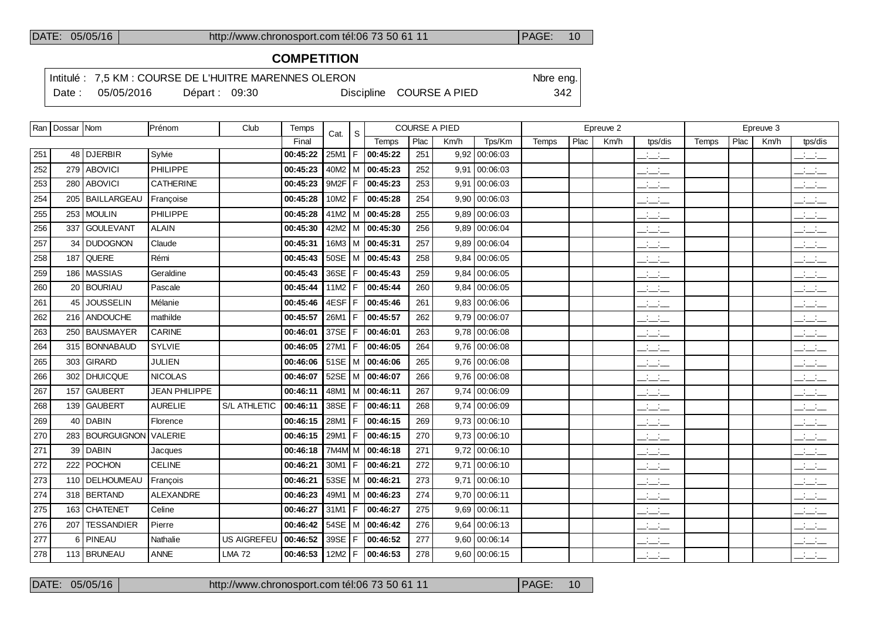# **COMPETITION**

Intitulé : 7,5 KM : COURSE DE L'HUITRE MARENNES OLERON Note eng.

Date : 05/05/2016 Départ : 09:30 Discipline COURSE A PIED 342

|     | Ran   Dossar   Nom |                    | Prénom               | Club               | Temps               | Cat.          | S  | <b>COURSE A PIED</b>       |      |      |                 | Epreuve 2 |      |      |                                                       | Epreuve 3 |      |      |                                                   |  |
|-----|--------------------|--------------------|----------------------|--------------------|---------------------|---------------|----|----------------------------|------|------|-----------------|-----------|------|------|-------------------------------------------------------|-----------|------|------|---------------------------------------------------|--|
|     |                    |                    |                      |                    | Final               |               |    | Temps                      | Plac | Km/h | Tps/Km          | Temps     | Plac | Km/h | tps/dis                                               | Temps     | Plac | Km/h | tps/dis                                           |  |
| 251 |                    | 48 DJERBIR         | Sylvie               |                    | 00:45:22            | $25M1$   F    |    | 00:45:22                   | 251  |      | 9,92   00:06:03 |           |      |      | $\frac{1}{2}$                                         |           |      |      | للأسائد                                           |  |
| 252 |                    | 279 ABOVICI        | PHILIPPE             |                    | 00:45:23            | $40M2$ M      |    | 00:45:23                   | 252  |      | $9,91$ 00:06:03 |           |      |      | $\mathbb{R}$ and $\mathbb{R}$                         |           |      |      | للأسائد                                           |  |
| 253 |                    | 280 ABOVICI        | CATHERINE            |                    | 00:45:23            | $9M2F$ F      |    | 00:45:23                   | 253  |      | 9,91   00:06:03 |           |      |      | للأسائد                                               |           |      |      | $\mathbb{R}$ and $\mathbb{R}$                     |  |
| 254 |                    | 205   BAILLARGEAU  | Françoise            |                    | 00:45:28            | 10M2          | F  | 00:45:28                   | 254  |      | 9,90 00:06:03   |           |      |      | سأساب                                                 |           |      |      | $\frac{1}{2}$ $\frac{1}{2}$ $\frac{1}{2}$         |  |
| 255 |                    | 253   MOULIN       | PHILIPPE             |                    | 00:45:28            |               |    | 41M2   M   00:45:28        | 255  |      | $9,89$ 00:06:03 |           |      |      | $\overline{\phantom{a}}$                              |           |      |      | $\mathbb{R}$ and $\mathbb{R}$                     |  |
| 256 | 337                | <b>GOULEVANT</b>   | <b>ALAIN</b>         |                    | 00:45:30            |               |    | 42M2   M   00:45:30        | 256  |      | $9,89$ 00:06:04 |           |      |      | $\mathcal{L} = \mathcal{L}$                           |           |      |      | $ -$                                              |  |
| 257 |                    | 34 DUDOGNON        | Claude               |                    | 00:45:31            |               |    | 16M3   M   00:45:31        | 257  |      | $9,89$ 00:06:04 |           |      |      | <b>Contract</b><br>$  -$                              |           |      |      | $\frac{1}{2}$ and $\frac{1}{2}$                   |  |
| 258 | 187                | <b>QUERE</b>       | Rémi                 |                    | 00:45:43            |               |    | 50SE   M $ $ 00:45:43      | 258  | 9,84 | 00:06:05        |           |      |      | $ -$                                                  |           |      |      | $\overline{\phantom{a}}$ $\overline{\phantom{a}}$ |  |
| 259 |                    | 186   MASSIAS      | Geraldine            |                    | 00:45:43            | 36SE          | F  | 00:45:43                   | 259  | 9,84 | 00:06:05        |           |      |      | $\overline{\phantom{a}}$ and $\overline{\phantom{a}}$ |           |      |      | للأسائل                                           |  |
| 260 |                    | 20 BOURIAU         | Pascale              |                    | 00:45:44            | 11M2          | F  | 00:45:44                   | 260  | 9,84 | 00:06:05        |           |      |      | $\overline{\phantom{a}}$                              |           |      |      | للأسائل                                           |  |
| 261 |                    | 45 JOUSSELIN       | Mélanie              |                    | 00:45:46            | 4ESF F        |    | 00:45:46                   | 261  |      | 9,83   00:06:06 |           |      |      | $\frac{1}{2}$ and $\frac{1}{2}$                       |           |      |      | للأسائل                                           |  |
| 262 |                    | 216 ANDOUCHE       | mathilde             |                    | 00:45:57            | 26M1          | F  | 00:45:57                   | 262  |      | $9,79$ 00:06:07 |           |      |      | للأساس                                                |           |      |      | $\overline{\phantom{a}}$                          |  |
| 263 |                    | 250   BAUSMAYER    | CARINE               |                    | 00:46:01            | 37SE          | F  | 00:46:01                   | 263  |      | $9,78$ 00:06:08 |           |      |      | $\Box \Box \Box$                                      |           |      |      | للأسائل                                           |  |
| 264 |                    | 315   BONNABAUD    | <b>SYLVIE</b>        |                    | 00:46:05            | $27M1$ F      |    | 00:46:05                   | 264  |      | $9,76$ 00:06:08 |           |      |      | للأسائب                                               |           |      |      | $ -$                                              |  |
| 265 |                    | 303 GIRARD         | <b>JULIEN</b>        |                    | 00:46:06            |               |    | 51SE   M <b>  00:46:06</b> | 265  |      | 9.76   00:06:08 |           |      |      | $\frac{1}{2}$ and $\frac{1}{2}$                       |           |      |      | $\frac{1}{2}$ and $\frac{1}{2}$                   |  |
| 266 | 302                | <b>DHUICQUE</b>    | <b>NICOLAS</b>       |                    | 00:46:07            |               |    | 52SE   M   00:46:07        | 266  | 9,76 | 00:06:08        |           |      |      | $\overline{\phantom{a}}$                              |           |      |      | للأسائل                                           |  |
| 267 | 157                | <b>GAUBERT</b>     | <b>JEAN PHILIPPE</b> |                    | 00:46:11            |               |    | 48M1   M   00:46:11        | 267  |      | $9,74$ 00:06:09 |           |      |      | $\overline{a}$                                        |           |      |      | $\frac{1}{2}$ and $\frac{1}{2}$                   |  |
| 268 | 139 <sup>1</sup>   | <b>GAUBERT</b>     | <b>AURELIE</b>       | S/L ATHLETIC       | 00:46:11            | 38SE          | F  | 00:46:11                   | 268  |      | $9,74$ 00:06:09 |           |      |      | $\overline{a}$                                        |           |      |      | للتحليل                                           |  |
| 269 |                    | 40 DABIN           | Florence             |                    | 00:46:15            | 28M1   F      |    | 00:46:15                   | 269  |      | $9,73$ 00:06:10 |           |      |      | $\frac{1}{2}$ and $\frac{1}{2}$                       |           |      |      | $\overline{\phantom{a}}$                          |  |
| 270 | 283                | <b>BOURGUIGNON</b> | VALERIE              |                    | 00:46:15            | 29M1          | F  | 00:46:15                   | 270  |      | $9,73$ 00:06:10 |           |      |      | $\frac{1}{2}$ and $\frac{1}{2}$                       |           |      |      | $\frac{1}{2}$ and $\frac{1}{2}$                   |  |
| 271 |                    | $39$ DABIN         | Jacques              |                    | 00:46:18            |               |    | 7M4M M 00:46:18            | 271  |      | $9,72$ 00:06:10 |           |      |      | للأسائل                                               |           |      |      | $\overline{\phantom{a}}$                          |  |
| 272 |                    | 222 POCHON         | <b>CELINE</b>        |                    | 00:46:21            | $30M1$   F    |    | 00:46:21                   | 272  |      | $9,71$ 00:06:10 |           |      |      | $\frac{1}{2}$ and $\frac{1}{2}$                       |           |      |      | للأسائل                                           |  |
| 273 |                    | 110   DELHOUMEAU   | François             |                    | 00:46:21            |               |    | 53SE   M   00:46:21        | 273  |      | $9,71$ 00:06:10 |           |      |      | للأسائد                                               |           |      |      | $\mathbb{R}$ and $\mathbb{R}$                     |  |
| 274 |                    | 318   BERTAND      | ALEXANDRE            |                    | 00:46:23            |               |    | 49M1   M   00:46:23        | 274  |      | 9,70 00:06:11   |           |      |      | $\overline{\phantom{a}}$                              |           |      |      | $\frac{1}{2}$                                     |  |
| 275 |                    | 163 CHATENET       | Celine               |                    | 00:46:27            | $31M1 \mid F$ |    | 00:46:27                   | 275  |      | $9,69$ 00:06:11 |           |      |      | $\frac{1}{2}$                                         |           |      |      | $\frac{1}{2}$                                     |  |
| 276 |                    | 207   TESSANDIER   | Pierre               |                    | 00:46:42            |               |    | 54SE   M   00:46:42        | 276  |      | $9,64$ 00:06:13 |           |      |      | $\frac{1}{2}$                                         |           |      |      | $\overline{\phantom{a}}$                          |  |
| 277 |                    | 6 PINEAU           | Nathalie             | <b>US AIGREFEU</b> | 00:46:52            | 39SE          | F. | 00:46:52                   | 277  |      | $9,60$ 00:06:14 |           |      |      | $\frac{1}{2}$ and $\frac{1}{2}$                       |           |      |      | $\mathbb{R}$ and $\mathbb{R}$                     |  |
| 278 |                    | 113 BRUNEAU        | ANNE                 | <b>LMA 72</b>      | 00:46:53   12M2   F |               |    | 00:46:53                   | 278  |      | 9,60 00:06:15   |           |      |      | للأساس                                                |           |      |      | $\frac{1}{2}$ and $\frac{1}{2}$                   |  |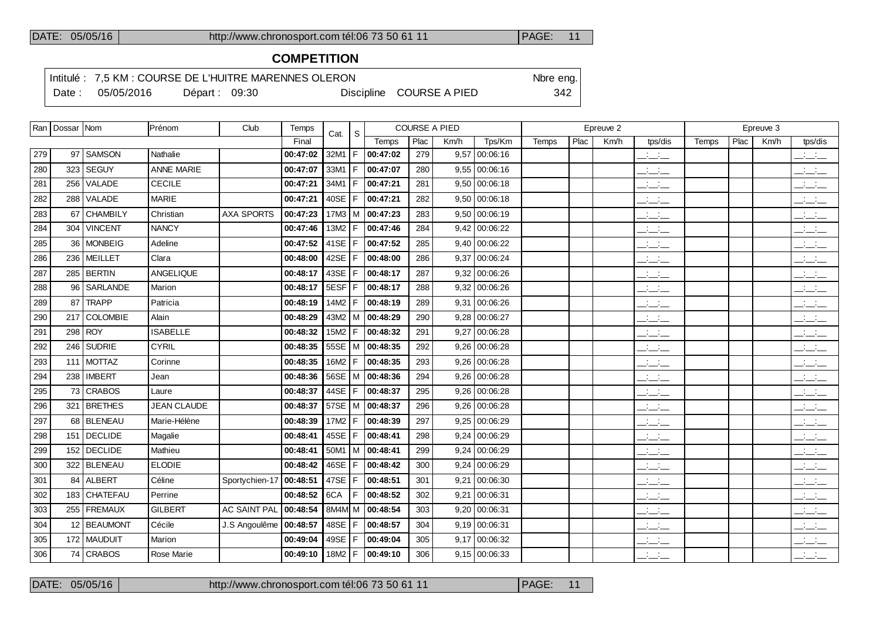# **COMPETITION**

Intitulé : 7,5 KM : COURSE DE L'HUITRE MARENNES OLERON Note eng.

Date : 05/05/2016 Départ : 09:30 Discipline COURSE A PIED 342

|     | Ran   Dossar   Nom |                | Prénom             | Club                | Temps    | Cat.   | S   |          |      | <b>COURSE A PIED</b> |                 |       |      | Epreuve 2 |                                           |       |      | Epreuve 3 |                                     |
|-----|--------------------|----------------|--------------------|---------------------|----------|--------|-----|----------|------|----------------------|-----------------|-------|------|-----------|-------------------------------------------|-------|------|-----------|-------------------------------------|
|     |                    |                |                    |                     | Final    |        |     | Temps    | Plac | Km/h                 | Tps/Km          | Temps | Plac | Km/h      | tps/dis                                   | Temps | Plac | Km/h      | tps/dis                             |
| 279 |                    | 97 SAMSON      | Nathalie           |                     | 00:47:02 | 32M1   | F   | 00:47:02 | 279  |                      | $9,57$ 00:06:16 |       |      |           | للمستحدث                                  |       |      |           | $\frac{1}{2}$                       |
| 280 |                    | 323   SEGUY    | <b>ANNE MARIE</b>  |                     | 00:47:07 | 33M1   |     | 00:47:07 | 280  | 9.55                 | 00:06:16        |       |      |           | $\frac{1}{2}$                             |       |      |           | $\sim 10^{-10}$ km $^{-1}$          |
| 281 |                    | 256 VALADE     | <b>CECILE</b>      |                     | 00:47:21 | 34M1   | F   | 00:47:21 | 281  | 9,50                 | 00:06:18        |       |      |           | $\frac{1}{2}$                             |       |      |           | $\mathbb{Z}$ and $\mathbb{Z}$       |
| 282 |                    | 288 VALADE     | <b>MARIE</b>       |                     | 00:47:21 | 40SE   |     | 00:47:21 | 282  | 9,50                 | 00:06:18        |       |      |           | $\frac{1}{2}$ and $\frac{1}{2}$           |       |      |           | $\overline{\phantom{a}}$            |
| 283 |                    | 67 CHAMBILY    | Christian          | <b>AXA SPORTS</b>   | 00:47:23 | 17M3   | l M | 00:47:23 | 283  |                      | $9,50$ 00:06:19 |       |      |           | $\frac{1}{2}$                             |       |      |           | $\overline{\phantom{a}}$            |
| 284 |                    | 304 VINCENT    | <b>NANCY</b>       |                     | 00:47:46 | 13M2   | F   | 00:47:46 | 284  | 9.42                 | 00:06:22        |       |      |           | للأساب                                    |       |      |           | $\sim 100$ km s $^{-1}$<br>$  -$    |
| 285 |                    | 36   MONBEIG   | Adeline            |                     | 00:47:52 | 41SE   | l F | 00:47:52 | 285  | 9.40                 | 00:06:22        |       |      |           | $ -$                                      |       |      |           | $\mathbb{Z}$ and $\mathbb{Z}$       |
| 286 |                    | 236 MEILLET    | Clara              |                     | 00:48:00 | 42SE   | F   | 00:48:00 | 286  | 9.37                 | 00:06:24        |       |      |           | $\frac{1}{2}$                             |       |      |           | $\sim 10^{-10}$ km $^{-1}$<br>$  -$ |
| 287 |                    | 285 BERTIN     | ANGELIQUE          |                     | 00:48:17 | 43SE   | F   | 00:48:17 | 287  |                      | $9,32$ 00:06:26 |       |      |           | $\mathcal{L} = \mathcal{L}$               |       |      |           | $\sim 10^{-1}$ m $^{-1}$<br>---     |
| 288 | 96                 | SARLANDE       | Marion             |                     | 00:48:17 | 5ESF   | F   | 00:48:17 | 288  | 9,32                 | 00:06:26        |       |      |           | $\mathcal{L} = \mathcal{L}$               |       |      |           | $  -$                               |
| 289 |                    | 87 TRAPP       | Patricia           |                     | 00:48:19 | 14M2   | F   | 00:48:19 | 289  |                      | 9,31 00:06:26   |       |      |           | $\frac{1}{2}$ and $\frac{1}{2}$           |       |      |           | $\mathcal{A}=\mathcal{A}$ .<br>---  |
| 290 |                    | 217 COLOMBIE   | Alain              |                     | 00:48:29 | 43M2   | l M | 00:48:29 | 290  | 9,28                 | 00:06:27        |       |      |           | $\frac{1}{2}$ $\frac{1}{2}$ $\frac{1}{2}$ |       |      |           | $\overline{\phantom{a}}$            |
| 291 |                    | 298 ROY        | <b>ISABELLE</b>    |                     | 00:48:32 | 15M2   | F   | 00:48:32 | 291  | 9,27                 | 00:06:28        |       |      |           | للأسائد                                   |       |      |           | بانيت                               |
| 292 |                    | 246 SUDRIE     | <b>CYRIL</b>       |                     | 00:48:35 | 55SE   | l M | 00:48:35 | 292  | 9.26                 | 00:06:28        |       |      |           | $\frac{1}{2}$ and $\frac{1}{2}$           |       |      |           | بالسائب                             |
| 293 |                    | 111 MOTTAZ     | Corinne            |                     | 00:48:35 | 16M2   | F   | 00:48:35 | 293  | 9,26                 | 00:06:28        |       |      |           | $ -$                                      |       |      |           | $\overline{\phantom{a}}$            |
| 294 |                    | 238 IMBERT     | Jean               |                     | 00:48:36 | 56SE   | l M | 00:48:36 | 294  | 9.26                 | 00:06:28        |       |      |           | $\frac{1}{2}$ and $\frac{1}{2}$           |       |      |           | بالسائد                             |
| 295 |                    | 73 CRABOS      | Laure              |                     | 00:48:37 | 44SE   | F   | 00:48:37 | 295  | 9,26                 | 00:06:28        |       |      |           | $\mathcal{L} = \mathcal{L}$               |       |      |           | بالسائد                             |
| 296 | 321                | <b>BRETHES</b> | <b>JEAN CLAUDE</b> |                     | 00:48:37 | 57SE   | l M | 00:48:37 | 296  | 9,26                 | 00:06:28        |       |      |           | $\frac{1}{2}$                             |       |      |           | $\sim 100$                          |
| 297 |                    | 68 BLENEAU     | Marie-Hélène       |                     | 00:48:39 | 17M2   | F   | 00:48:39 | 297  | 9,25                 | 00:06:29        |       |      |           | $  -$                                     |       |      |           | $\overline{\phantom{a}}$            |
| 298 | 151                | DECLIDE        | Magalie            |                     | 00:48:41 | 45SE   | F   | 00:48:41 | 298  | 9,24                 | 00:06:29        |       |      |           | $\frac{1}{2}$ and $\frac{1}{2}$           |       |      |           | $\mathbb{Z}$ and $\mathbb{Z}$       |
| 299 |                    | 152 DECLIDE    | Mathieu            |                     | 00:48:41 | 50M1   | l M | 00:48:41 | 299  | 9.24                 | 00:06:29        |       |      |           | $\frac{1}{2}$ and $\frac{1}{2}$           |       |      |           | بالسائب                             |
| 300 |                    | 322 BLENEAU    | <b>ELODIE</b>      |                     | 00:48:42 | 46SE   | F   | 00:48:42 | 300  | 9.24                 | 00:06:29        |       |      |           | $\frac{1}{2}$ and $\frac{1}{2}$           |       |      |           | $\overline{\phantom{a}}$            |
| 301 |                    | 84 ALBERT      | Céline             | Sportychien-17      | 00:48:51 | 47SE   | F   | 00:48:51 | 301  | 9,21                 | 00:06:30        |       |      |           | $\frac{1}{2}$ and $\frac{1}{2}$           |       |      |           | $\overline{\phantom{a}}$            |
| 302 |                    | 183 CHATEFAU   | Perrine            |                     | 00:48:52 | 6CA    |     | 00:48:52 | 302  | 9,21                 | 00:06:31        |       |      |           | $\frac{1}{2}$ and $\frac{1}{2}$           |       |      |           | $\overline{\phantom{a}}$            |
| 303 |                    | 255   FREMAUX  | <b>GILBERT</b>     | <b>AC SAINT PAL</b> | 00:48:54 | 8M4M M |     | 00:48:54 | 303  | 9,20                 | 00:06:31        |       |      |           | $ -$                                      |       |      |           | <b>Contract Contract</b><br>---     |
| 304 |                    | 12 BEAUMONT    | Cécile             | J.S Angoulême       | 00:48:57 | 48SE   | F   | 00:48:57 | 304  | 9.19                 | 00:06:31        |       |      |           | $\frac{1}{2}$ and $\frac{1}{2}$           |       |      |           | <b>Contract Contract</b>            |
| 305 |                    | 172   MAUDUIT  | Marion             |                     | 00:49:04 | 49SE   | F.  | 00:49:04 | 305  | 9,17                 | 00:06:32        |       |      |           | $-1$                                      |       |      |           | $  -$                               |
| 306 |                    | 74 CRABOS      | <b>Rose Marie</b>  |                     | 00:49:10 | 18M2   | F   | 00:49:10 | 306  |                      | $9,15$ 00:06:33 |       |      |           | $\frac{1}{2}$ and $\frac{1}{2}$           |       |      |           | $ -$                                |